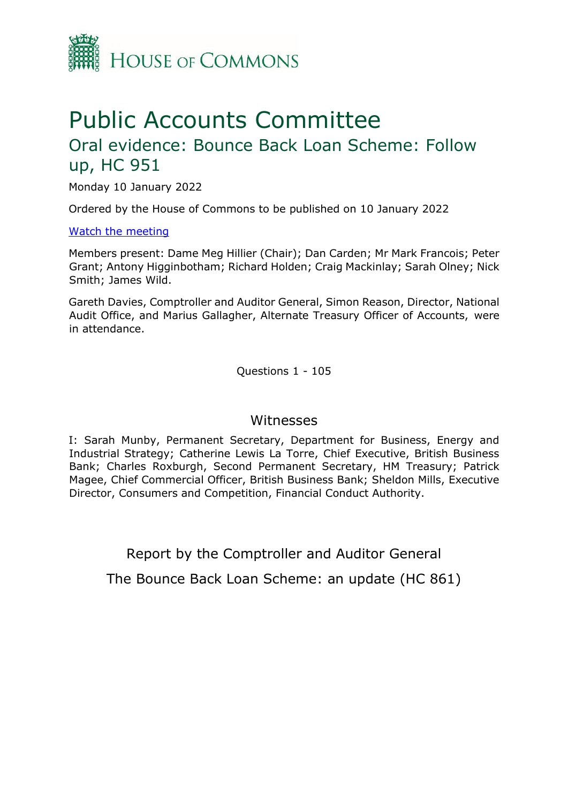

# Public Accounts Committee

# Oral evidence: Bounce Back Loan Scheme: Follow up, HC 951

Monday 10 January 2022

Ordered by the House of Commons to be published on 10 January 2022

#### [Watch the meeting](https://parliamentlive.tv/Event/Index/d6774418-39a3-4c27-a9b5-7b4af4a8a950)

Members present: Dame Meg Hillier (Chair); Dan Carden; Mr Mark Francois; Peter Grant; Antony Higginbotham; Richard Holden; Craig Mackinlay; Sarah Olney; Nick Smith; James Wild.

Gareth Davies, Comptroller and Auditor General, Simon Reason, Director, National Audit Office, and Marius Gallagher, Alternate Treasury Officer of Accounts, were in attendance.

Questions 1 - 105

### Witnesses

I: Sarah Munby, Permanent Secretary, Department for Business, Energy and Industrial Strategy; Catherine Lewis La Torre, Chief Executive, British Business Bank; Charles Roxburgh, Second Permanent Secretary, HM Treasury; Patrick Magee, Chief Commercial Officer, British Business Bank; Sheldon Mills, Executive Director, Consumers and Competition, Financial Conduct Authority.

Report by the Comptroller and Auditor General

The Bounce Back Loan Scheme: an update (HC 861)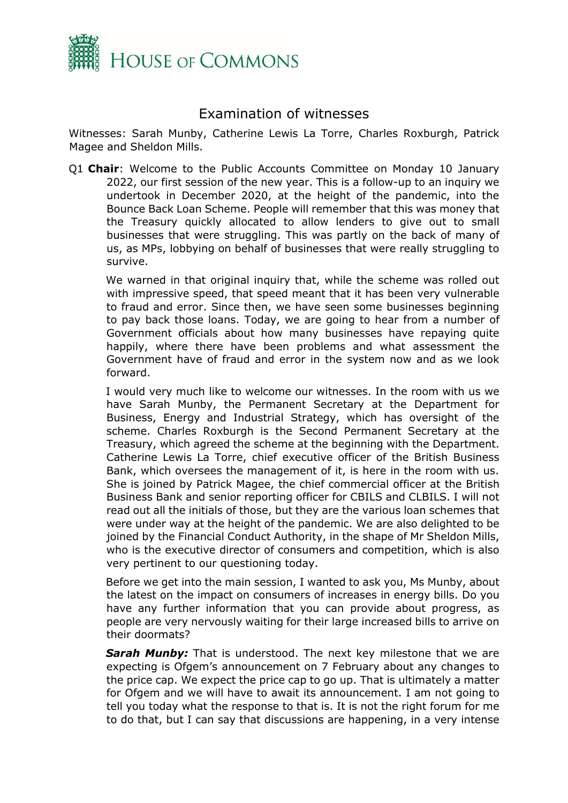

## Examination of witnesses

Witnesses: Sarah Munby, Catherine Lewis La Torre, Charles Roxburgh, Patrick Magee and Sheldon Mills.

Q1 **Chair**: Welcome to the Public Accounts Committee on Monday 10 January 2022, our first session of the new year. This is a follow-up to an inquiry we undertook in December 2020, at the height of the pandemic, into the Bounce Back Loan Scheme. People will remember that this was money that the Treasury quickly allocated to allow lenders to give out to small businesses that were struggling. This was partly on the back of many of us, as MPs, lobbying on behalf of businesses that were really struggling to survive.

We warned in that original inquiry that, while the scheme was rolled out with impressive speed, that speed meant that it has been very vulnerable to fraud and error. Since then, we have seen some businesses beginning to pay back those loans. Today, we are going to hear from a number of Government officials about how many businesses have repaying quite happily, where there have been problems and what assessment the Government have of fraud and error in the system now and as we look forward.

I would very much like to welcome our witnesses. In the room with us we have Sarah Munby, the Permanent Secretary at the Department for Business, Energy and Industrial Strategy, which has oversight of the scheme. Charles Roxburgh is the Second Permanent Secretary at the Treasury, which agreed the scheme at the beginning with the Department. Catherine Lewis La Torre, chief executive officer of the British Business Bank, which oversees the management of it, is here in the room with us. She is joined by Patrick Magee, the chief commercial officer at the British Business Bank and senior reporting officer for CBILS and CLBILS. I will not read out all the initials of those, but they are the various loan schemes that were under way at the height of the pandemic. We are also delighted to be joined by the Financial Conduct Authority, in the shape of Mr Sheldon Mills, who is the executive director of consumers and competition, which is also very pertinent to our questioning today.

Before we get into the main session, I wanted to ask you, Ms Munby, about the latest on the impact on consumers of increases in energy bills. Do you have any further information that you can provide about progress, as people are very nervously waiting for their large increased bills to arrive on their doormats?

**Sarah Munby:** That is understood. The next key milestone that we are expecting is Ofgem's announcement on 7 February about any changes to the price cap. We expect the price cap to go up. That is ultimately a matter for Ofgem and we will have to await its announcement. I am not going to tell you today what the response to that is. It is not the right forum for me to do that, but I can say that discussions are happening, in a very intense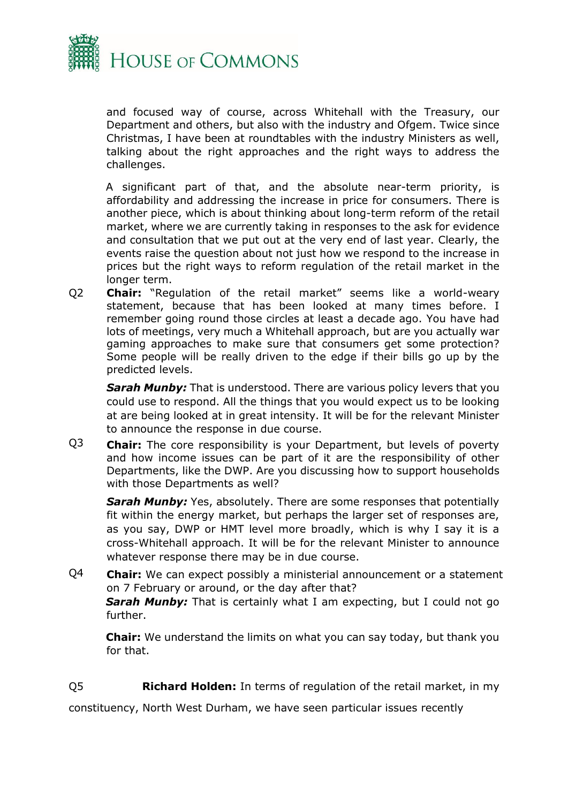

and focused way of course, across Whitehall with the Treasury, our Department and others, but also with the industry and Ofgem. Twice since Christmas, I have been at roundtables with the industry Ministers as well, talking about the right approaches and the right ways to address the challenges.

A significant part of that, and the absolute near-term priority, is affordability and addressing the increase in price for consumers. There is another piece, which is about thinking about long-term reform of the retail market, where we are currently taking in responses to the ask for evidence and consultation that we put out at the very end of last year. Clearly, the events raise the question about not just how we respond to the increase in prices but the right ways to reform regulation of the retail market in the longer term.

Q2 **Chair:** "Regulation of the retail market" seems like a world-weary statement, because that has been looked at many times before. I remember going round those circles at least a decade ago. You have had lots of meetings, very much a Whitehall approach, but are you actually war gaming approaches to make sure that consumers get some protection? Some people will be really driven to the edge if their bills go up by the predicted levels.

*Sarah Munby:* That is understood. There are various policy levers that you could use to respond. All the things that you would expect us to be looking at are being looked at in great intensity. It will be for the relevant Minister to announce the response in due course.

Q3 **Chair:** The core responsibility is your Department, but levels of poverty and how income issues can be part of it are the responsibility of other Departments, like the DWP. Are you discussing how to support households with those Departments as well?

**Sarah Munby:** Yes, absolutely. There are some responses that potentially fit within the energy market, but perhaps the larger set of responses are, as you say, DWP or HMT level more broadly, which is why I say it is a cross-Whitehall approach. It will be for the relevant Minister to announce whatever response there may be in due course.

Q4 **Chair:** We can expect possibly a ministerial announcement or a statement on 7 February or around, or the day after that? *Sarah Munby:* That is certainly what I am expecting, but I could not go further.

**Chair:** We understand the limits on what you can say today, but thank you for that.

Q5 **Richard Holden:** In terms of regulation of the retail market, in my

constituency, North West Durham, we have seen particular issues recently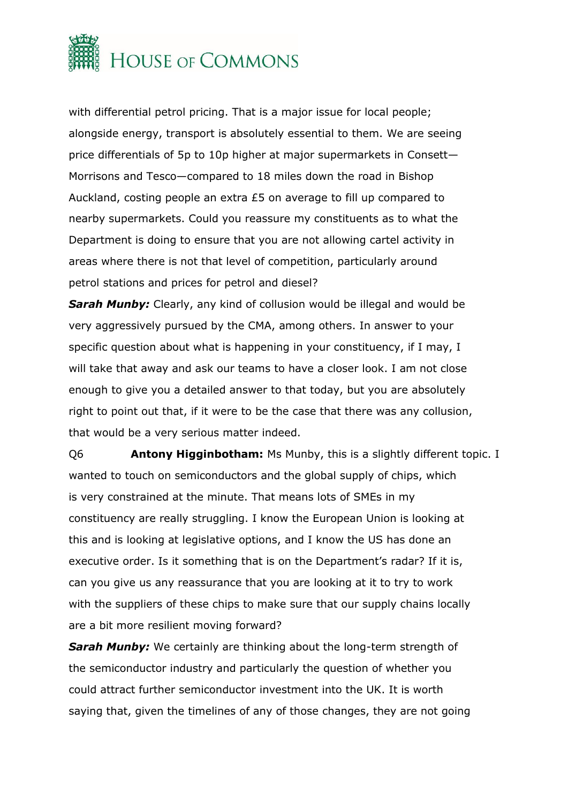

with differential petrol pricing. That is a major issue for local people; alongside energy, transport is absolutely essential to them. We are seeing price differentials of 5p to 10p higher at major supermarkets in Consett— Morrisons and Tesco—compared to 18 miles down the road in Bishop Auckland, costing people an extra £5 on average to fill up compared to nearby supermarkets. Could you reassure my constituents as to what the Department is doing to ensure that you are not allowing cartel activity in areas where there is not that level of competition, particularly around petrol stations and prices for petrol and diesel?

**Sarah Munby:** Clearly, any kind of collusion would be illegal and would be very aggressively pursued by the CMA, among others. In answer to your specific question about what is happening in your constituency, if I may, I will take that away and ask our teams to have a closer look. I am not close enough to give you a detailed answer to that today, but you are absolutely right to point out that, if it were to be the case that there was any collusion, that would be a very serious matter indeed.

Q6 **Antony Higginbotham:** Ms Munby, this is a slightly different topic. I wanted to touch on semiconductors and the global supply of chips, which is very constrained at the minute. That means lots of SMEs in my constituency are really struggling. I know the European Union is looking at this and is looking at legislative options, and I know the US has done an executive order. Is it something that is on the Department's radar? If it is, can you give us any reassurance that you are looking at it to try to work with the suppliers of these chips to make sure that our supply chains locally are a bit more resilient moving forward?

**Sarah Munby:** We certainly are thinking about the long-term strength of the semiconductor industry and particularly the question of whether you could attract further semiconductor investment into the UK. It is worth saying that, given the timelines of any of those changes, they are not going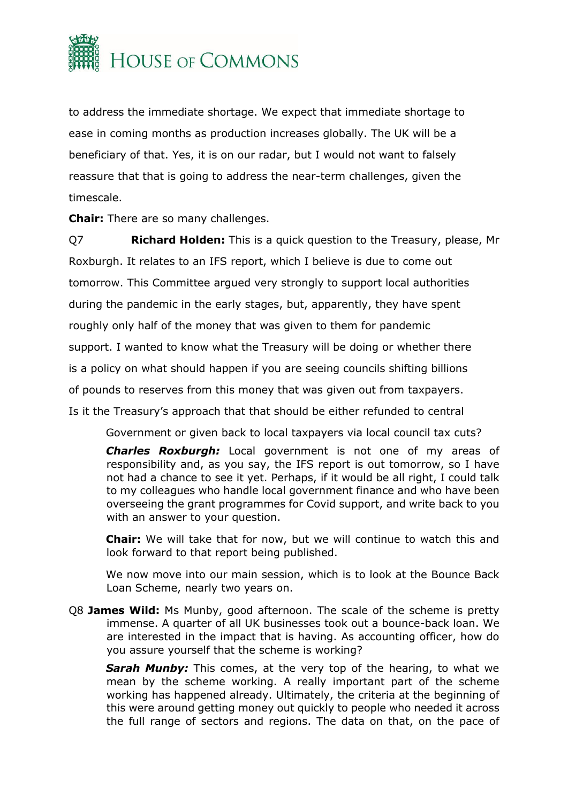

to address the immediate shortage. We expect that immediate shortage to ease in coming months as production increases globally. The UK will be a beneficiary of that. Yes, it is on our radar, but I would not want to falsely reassure that that is going to address the near-term challenges, given the timescale.

**Chair:** There are so many challenges.

Q7 **Richard Holden:** This is a quick question to the Treasury, please, Mr Roxburgh. It relates to an IFS report, which I believe is due to come out tomorrow. This Committee argued very strongly to support local authorities during the pandemic in the early stages, but, apparently, they have spent roughly only half of the money that was given to them for pandemic support. I wanted to know what the Treasury will be doing or whether there is a policy on what should happen if you are seeing councils shifting billions of pounds to reserves from this money that was given out from taxpayers. Is it the Treasury's approach that that should be either refunded to central

Government or given back to local taxpayers via local council tax cuts?

*Charles Roxburgh:* Local government is not one of my areas of responsibility and, as you say, the IFS report is out tomorrow, so I have not had a chance to see it yet. Perhaps, if it would be all right, I could talk to my colleagues who handle local government finance and who have been overseeing the grant programmes for Covid support, and write back to you with an answer to your question.

**Chair:** We will take that for now, but we will continue to watch this and look forward to that report being published.

We now move into our main session, which is to look at the Bounce Back Loan Scheme, nearly two years on.

Q8 **James Wild:** Ms Munby, good afternoon. The scale of the scheme is pretty immense. A quarter of all UK businesses took out a bounce-back loan. We are interested in the impact that is having. As accounting officer, how do you assure yourself that the scheme is working?

**Sarah Munby:** This comes, at the very top of the hearing, to what we mean by the scheme working. A really important part of the scheme working has happened already. Ultimately, the criteria at the beginning of this were around getting money out quickly to people who needed it across the full range of sectors and regions. The data on that, on the pace of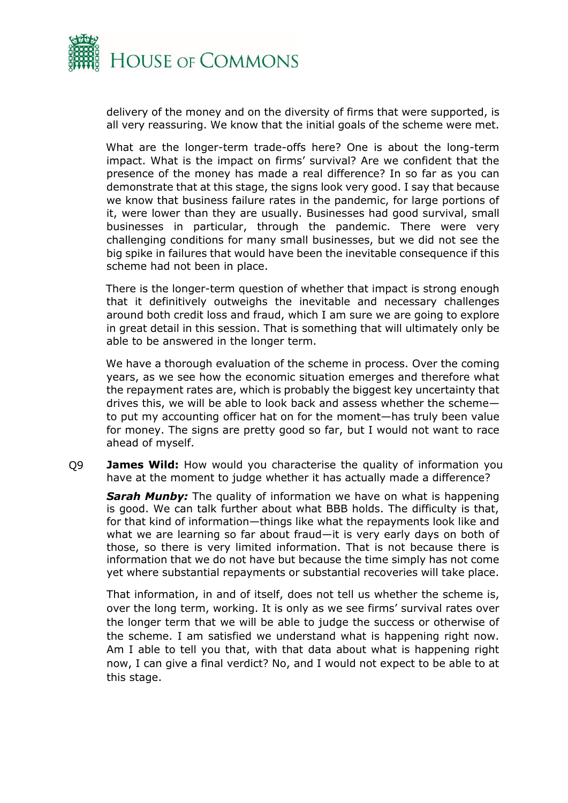

delivery of the money and on the diversity of firms that were supported, is all very reassuring. We know that the initial goals of the scheme were met.

What are the longer-term trade-offs here? One is about the long-term impact. What is the impact on firms' survival? Are we confident that the presence of the money has made a real difference? In so far as you can demonstrate that at this stage, the signs look very good. I say that because we know that business failure rates in the pandemic, for large portions of it, were lower than they are usually. Businesses had good survival, small businesses in particular, through the pandemic. There were very challenging conditions for many small businesses, but we did not see the big spike in failures that would have been the inevitable consequence if this scheme had not been in place.

There is the longer-term question of whether that impact is strong enough that it definitively outweighs the inevitable and necessary challenges around both credit loss and fraud, which I am sure we are going to explore in great detail in this session. That is something that will ultimately only be able to be answered in the longer term.

We have a thorough evaluation of the scheme in process. Over the coming years, as we see how the economic situation emerges and therefore what the repayment rates are, which is probably the biggest key uncertainty that drives this, we will be able to look back and assess whether the scheme to put my accounting officer hat on for the moment—has truly been value for money. The signs are pretty good so far, but I would not want to race ahead of myself.

Q9 **James Wild:** How would you characterise the quality of information you have at the moment to judge whether it has actually made a difference?

*Sarah Munby:* The quality of information we have on what is happening is good. We can talk further about what BBB holds. The difficulty is that, for that kind of information—things like what the repayments look like and what we are learning so far about fraud—it is very early days on both of those, so there is very limited information. That is not because there is information that we do not have but because the time simply has not come yet where substantial repayments or substantial recoveries will take place.

That information, in and of itself, does not tell us whether the scheme is, over the long term, working. It is only as we see firms' survival rates over the longer term that we will be able to judge the success or otherwise of the scheme. I am satisfied we understand what is happening right now. Am I able to tell you that, with that data about what is happening right now, I can give a final verdict? No, and I would not expect to be able to at this stage.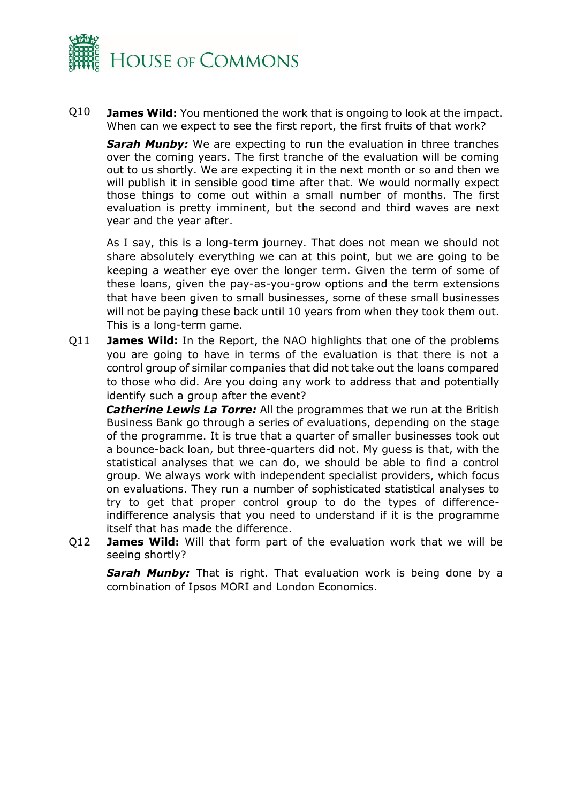

Q10 **James Wild:** You mentioned the work that is ongoing to look at the impact. When can we expect to see the first report, the first fruits of that work?

*Sarah Munby:* We are expecting to run the evaluation in three tranches over the coming years. The first tranche of the evaluation will be coming out to us shortly. We are expecting it in the next month or so and then we will publish it in sensible good time after that. We would normally expect those things to come out within a small number of months. The first evaluation is pretty imminent, but the second and third waves are next year and the year after.

As I say, this is a long-term journey. That does not mean we should not share absolutely everything we can at this point, but we are going to be keeping a weather eye over the longer term. Given the term of some of these loans, given the pay-as-you-grow options and the term extensions that have been given to small businesses, some of these small businesses will not be paying these back until 10 years from when they took them out. This is a long-term game.

Q11 **James Wild:** In the Report, the NAO highlights that one of the problems you are going to have in terms of the evaluation is that there is not a control group of similar companies that did not take out the loans compared to those who did. Are you doing any work to address that and potentially identify such a group after the event?

*Catherine Lewis La Torre:* All the programmes that we run at the British Business Bank go through a series of evaluations, depending on the stage of the programme. It is true that a quarter of smaller businesses took out a bounce-back loan, but three-quarters did not. My guess is that, with the statistical analyses that we can do, we should be able to find a control group. We always work with independent specialist providers, which focus on evaluations. They run a number of sophisticated statistical analyses to try to get that proper control group to do the types of differenceindifference analysis that you need to understand if it is the programme itself that has made the difference.

Q12 **James Wild:** Will that form part of the evaluation work that we will be seeing shortly?

**Sarah Munby:** That is right. That evaluation work is being done by a combination of Ipsos MORI and London Economics.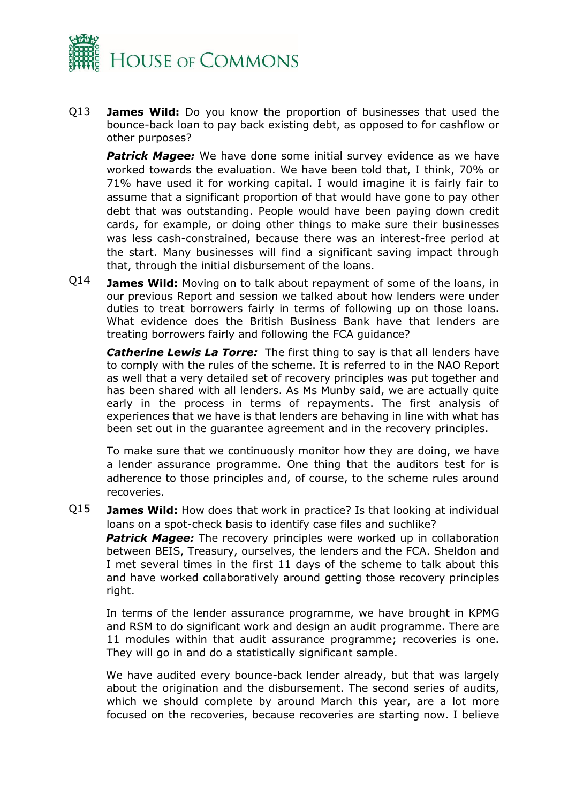

Q13 **James Wild:** Do you know the proportion of businesses that used the bounce-back loan to pay back existing debt, as opposed to for cashflow or other purposes?

**Patrick Magee:** We have done some initial survey evidence as we have worked towards the evaluation. We have been told that, I think, 70% or 71% have used it for working capital. I would imagine it is fairly fair to assume that a significant proportion of that would have gone to pay other debt that was outstanding. People would have been paying down credit cards, for example, or doing other things to make sure their businesses was less cash-constrained, because there was an interest-free period at the start. Many businesses will find a significant saving impact through that, through the initial disbursement of the loans.

Q14 **James Wild:** Moving on to talk about repayment of some of the loans, in our previous Report and session we talked about how lenders were under duties to treat borrowers fairly in terms of following up on those loans. What evidence does the British Business Bank have that lenders are treating borrowers fairly and following the FCA guidance?

*Catherine Lewis La Torre:* The first thing to say is that all lenders have to comply with the rules of the scheme. It is referred to in the NAO Report as well that a very detailed set of recovery principles was put together and has been shared with all lenders. As Ms Munby said, we are actually quite early in the process in terms of repayments. The first analysis of experiences that we have is that lenders are behaving in line with what has been set out in the guarantee agreement and in the recovery principles.

To make sure that we continuously monitor how they are doing, we have a lender assurance programme. One thing that the auditors test for is adherence to those principles and, of course, to the scheme rules around recoveries.

Q15 **James Wild:** How does that work in practice? Is that looking at individual loans on a spot-check basis to identify case files and suchlike?

**Patrick Magee:** The recovery principles were worked up in collaboration between BEIS, Treasury, ourselves, the lenders and the FCA. Sheldon and I met several times in the first 11 days of the scheme to talk about this and have worked collaboratively around getting those recovery principles right.

In terms of the lender assurance programme, we have brought in KPMG and RSM to do significant work and design an audit programme. There are 11 modules within that audit assurance programme; recoveries is one. They will go in and do a statistically significant sample.

We have audited every bounce-back lender already, but that was largely about the origination and the disbursement. The second series of audits, which we should complete by around March this year, are a lot more focused on the recoveries, because recoveries are starting now. I believe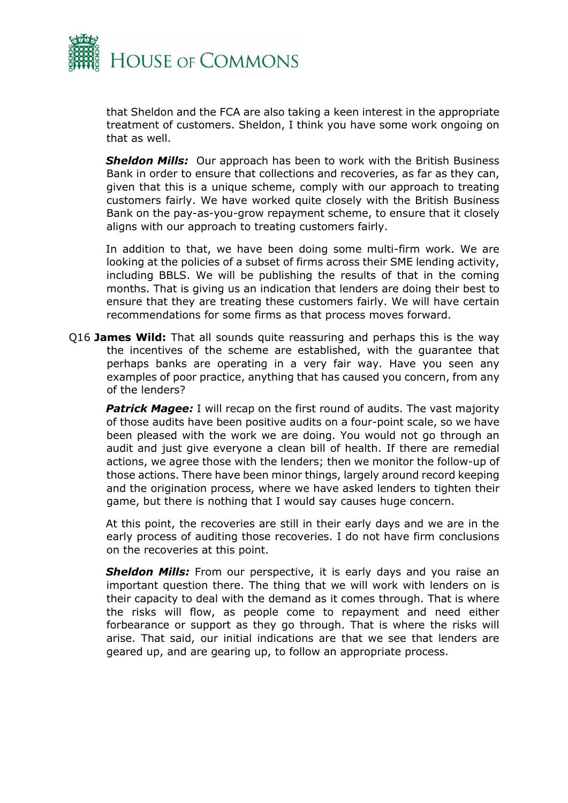

that Sheldon and the FCA are also taking a keen interest in the appropriate treatment of customers. Sheldon, I think you have some work ongoing on that as well.

*Sheldon Mills:* Our approach has been to work with the British Business Bank in order to ensure that collections and recoveries, as far as they can, given that this is a unique scheme, comply with our approach to treating customers fairly. We have worked quite closely with the British Business Bank on the pay-as-you-grow repayment scheme, to ensure that it closely aligns with our approach to treating customers fairly.

In addition to that, we have been doing some multi-firm work. We are looking at the policies of a subset of firms across their SME lending activity, including BBLS. We will be publishing the results of that in the coming months. That is giving us an indication that lenders are doing their best to ensure that they are treating these customers fairly. We will have certain recommendations for some firms as that process moves forward.

Q16 **James Wild:** That all sounds quite reassuring and perhaps this is the way the incentives of the scheme are established, with the guarantee that perhaps banks are operating in a very fair way. Have you seen any examples of poor practice, anything that has caused you concern, from any of the lenders?

**Patrick Magee:** I will recap on the first round of audits. The vast majority of those audits have been positive audits on a four-point scale, so we have been pleased with the work we are doing. You would not go through an audit and just give everyone a clean bill of health. If there are remedial actions, we agree those with the lenders; then we monitor the follow-up of those actions. There have been minor things, largely around record keeping and the origination process, where we have asked lenders to tighten their game, but there is nothing that I would say causes huge concern.

At this point, the recoveries are still in their early days and we are in the early process of auditing those recoveries. I do not have firm conclusions on the recoveries at this point.

**Sheldon Mills:** From our perspective, it is early days and you raise an important question there. The thing that we will work with lenders on is their capacity to deal with the demand as it comes through. That is where the risks will flow, as people come to repayment and need either forbearance or support as they go through. That is where the risks will arise. That said, our initial indications are that we see that lenders are geared up, and are gearing up, to follow an appropriate process.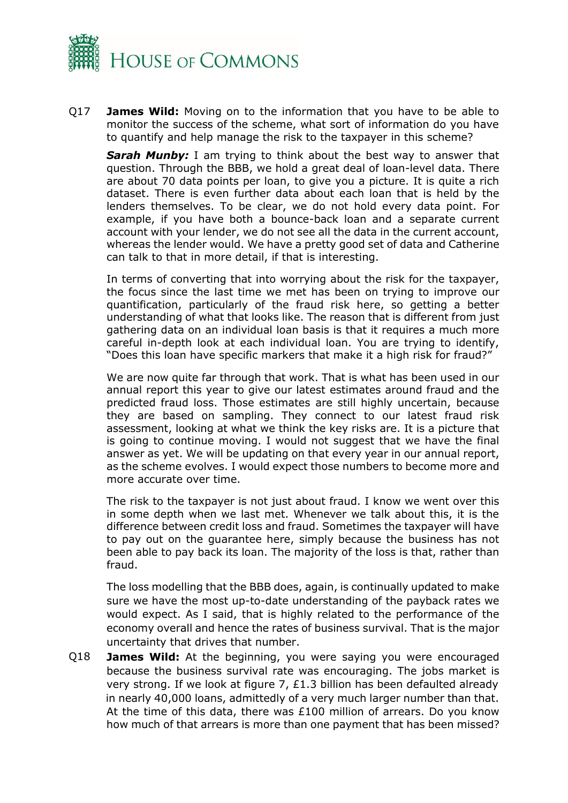

Q17 **James Wild:** Moving on to the information that you have to be able to monitor the success of the scheme, what sort of information do you have to quantify and help manage the risk to the taxpayer in this scheme?

**Sarah Munby:** I am trying to think about the best way to answer that question. Through the BBB, we hold a great deal of loan-level data. There are about 70 data points per loan, to give you a picture. It is quite a rich dataset. There is even further data about each loan that is held by the lenders themselves. To be clear, we do not hold every data point. For example, if you have both a bounce-back loan and a separate current account with your lender, we do not see all the data in the current account, whereas the lender would. We have a pretty good set of data and Catherine can talk to that in more detail, if that is interesting.

In terms of converting that into worrying about the risk for the taxpayer, the focus since the last time we met has been on trying to improve our quantification, particularly of the fraud risk here, so getting a better understanding of what that looks like. The reason that is different from just gathering data on an individual loan basis is that it requires a much more careful in-depth look at each individual loan. You are trying to identify, "Does this loan have specific markers that make it a high risk for fraud?"

We are now quite far through that work. That is what has been used in our annual report this year to give our latest estimates around fraud and the predicted fraud loss. Those estimates are still highly uncertain, because they are based on sampling. They connect to our latest fraud risk assessment, looking at what we think the key risks are. It is a picture that is going to continue moving. I would not suggest that we have the final answer as yet. We will be updating on that every year in our annual report, as the scheme evolves. I would expect those numbers to become more and more accurate over time.

The risk to the taxpayer is not just about fraud. I know we went over this in some depth when we last met. Whenever we talk about this, it is the difference between credit loss and fraud. Sometimes the taxpayer will have to pay out on the guarantee here, simply because the business has not been able to pay back its loan. The majority of the loss is that, rather than fraud.

The loss modelling that the BBB does, again, is continually updated to make sure we have the most up-to-date understanding of the payback rates we would expect. As I said, that is highly related to the performance of the economy overall and hence the rates of business survival. That is the major uncertainty that drives that number.

Q18 **James Wild:** At the beginning, you were saying you were encouraged because the business survival rate was encouraging. The jobs market is very strong. If we look at figure 7, £1.3 billion has been defaulted already in nearly 40,000 loans, admittedly of a very much larger number than that. At the time of this data, there was £100 million of arrears. Do you know how much of that arrears is more than one payment that has been missed?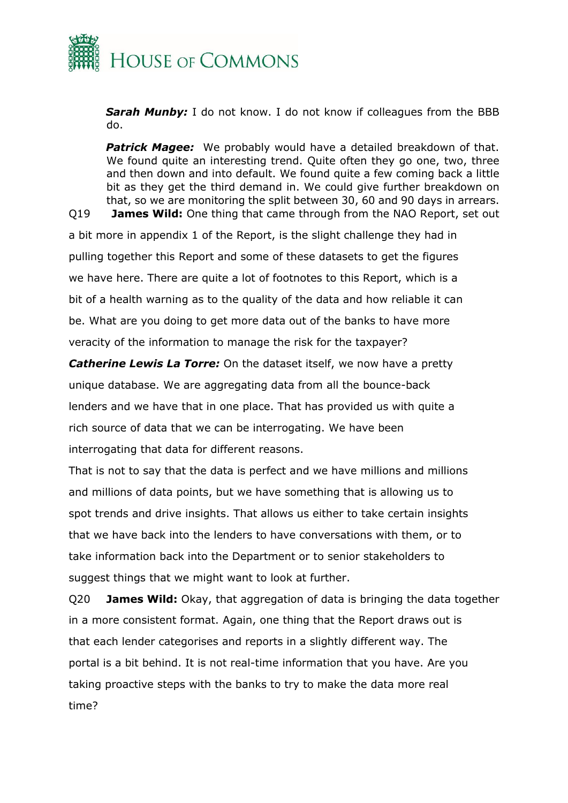

*Sarah Munby:* I do not know. I do not know if colleagues from the BBB do.

**Patrick Magee:** We probably would have a detailed breakdown of that. We found quite an interesting trend. Quite often they go one, two, three and then down and into default. We found quite a few coming back a little bit as they get the third demand in. We could give further breakdown on that, so we are monitoring the split between 30, 60 and 90 days in arrears.

Q19 **James Wild:** One thing that came through from the NAO Report, set out a bit more in appendix 1 of the Report, is the slight challenge they had in pulling together this Report and some of these datasets to get the figures we have here. There are quite a lot of footnotes to this Report, which is a bit of a health warning as to the quality of the data and how reliable it can be. What are you doing to get more data out of the banks to have more veracity of the information to manage the risk for the taxpayer?

*Catherine Lewis La Torre:* On the dataset itself, we now have a pretty unique database. We are aggregating data from all the bounce-back lenders and we have that in one place. That has provided us with quite a rich source of data that we can be interrogating. We have been interrogating that data for different reasons.

That is not to say that the data is perfect and we have millions and millions and millions of data points, but we have something that is allowing us to spot trends and drive insights. That allows us either to take certain insights that we have back into the lenders to have conversations with them, or to take information back into the Department or to senior stakeholders to suggest things that we might want to look at further.

Q20 **James Wild:** Okay, that aggregation of data is bringing the data together in a more consistent format. Again, one thing that the Report draws out is that each lender categorises and reports in a slightly different way. The portal is a bit behind. It is not real-time information that you have. Are you taking proactive steps with the banks to try to make the data more real time?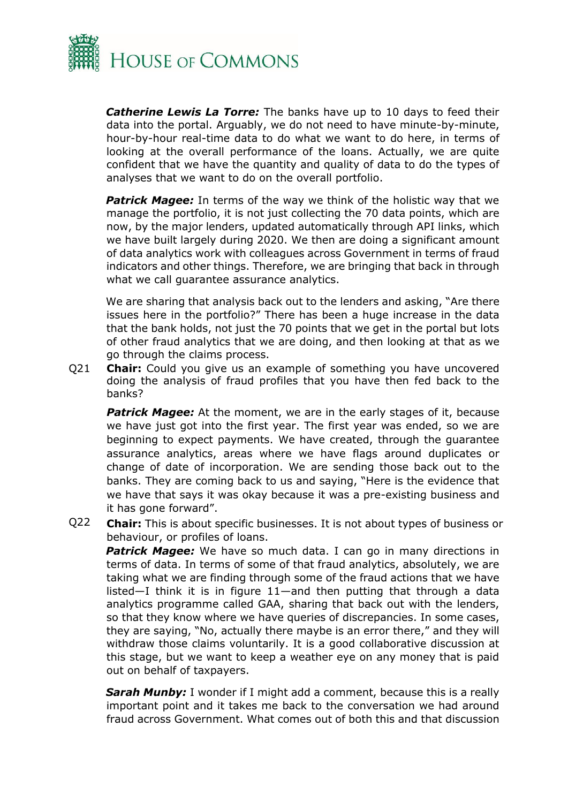

*Catherine Lewis La Torre:* The banks have up to 10 days to feed their data into the portal. Arguably, we do not need to have minute-by-minute, hour-by-hour real-time data to do what we want to do here, in terms of looking at the overall performance of the loans. Actually, we are quite confident that we have the quantity and quality of data to do the types of analyses that we want to do on the overall portfolio.

**Patrick Magee:** In terms of the way we think of the holistic way that we manage the portfolio, it is not just collecting the 70 data points, which are now, by the major lenders, updated automatically through API links, which we have built largely during 2020. We then are doing a significant amount of data analytics work with colleagues across Government in terms of fraud indicators and other things. Therefore, we are bringing that back in through what we call guarantee assurance analytics.

We are sharing that analysis back out to the lenders and asking, "Are there issues here in the portfolio?" There has been a huge increase in the data that the bank holds, not just the 70 points that we get in the portal but lots of other fraud analytics that we are doing, and then looking at that as we go through the claims process.

Q21 **Chair:** Could you give us an example of something you have uncovered doing the analysis of fraud profiles that you have then fed back to the banks?

**Patrick Magee:** At the moment, we are in the early stages of it, because we have just got into the first year. The first year was ended, so we are beginning to expect payments. We have created, through the guarantee assurance analytics, areas where we have flags around duplicates or change of date of incorporation. We are sending those back out to the banks. They are coming back to us and saying, "Here is the evidence that we have that says it was okay because it was a pre-existing business and it has gone forward".

Q22 **Chair:** This is about specific businesses. It is not about types of business or behaviour, or profiles of loans.

**Patrick Magee:** We have so much data. I can go in many directions in terms of data. In terms of some of that fraud analytics, absolutely, we are taking what we are finding through some of the fraud actions that we have listed—I think it is in figure 11—and then putting that through a data analytics programme called GAA, sharing that back out with the lenders, so that they know where we have queries of discrepancies. In some cases, they are saying, "No, actually there maybe is an error there," and they will withdraw those claims voluntarily. It is a good collaborative discussion at this stage, but we want to keep a weather eye on any money that is paid out on behalf of taxpayers.

**Sarah Munby:** I wonder if I might add a comment, because this is a really important point and it takes me back to the conversation we had around fraud across Government. What comes out of both this and that discussion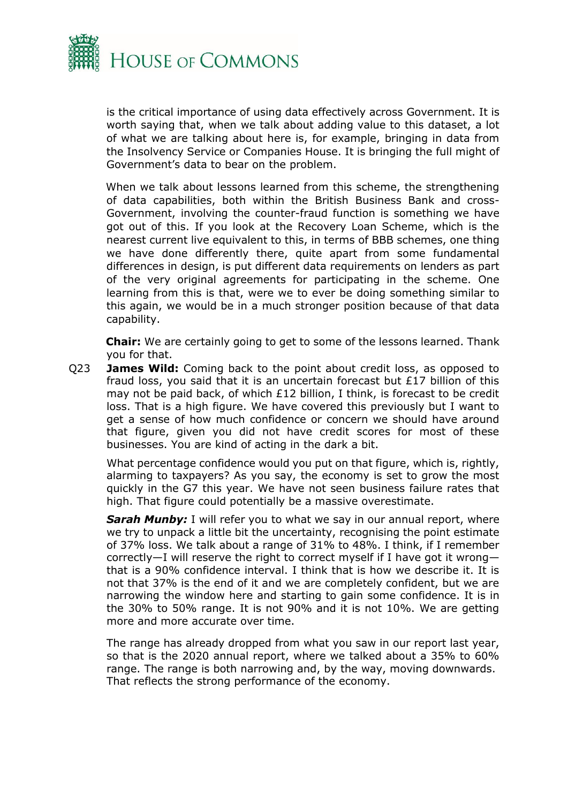

is the critical importance of using data effectively across Government. It is worth saying that, when we talk about adding value to this dataset, a lot of what we are talking about here is, for example, bringing in data from the Insolvency Service or Companies House. It is bringing the full might of Government's data to bear on the problem.

When we talk about lessons learned from this scheme, the strengthening of data capabilities, both within the British Business Bank and cross-Government, involving the counter-fraud function is something we have got out of this. If you look at the Recovery Loan Scheme, which is the nearest current live equivalent to this, in terms of BBB schemes, one thing we have done differently there, quite apart from some fundamental differences in design, is put different data requirements on lenders as part of the very original agreements for participating in the scheme. One learning from this is that, were we to ever be doing something similar to this again, we would be in a much stronger position because of that data capability.

**Chair:** We are certainly going to get to some of the lessons learned. Thank you for that.

Q23 **James Wild:** Coming back to the point about credit loss, as opposed to fraud loss, you said that it is an uncertain forecast but £17 billion of this may not be paid back, of which £12 billion, I think, is forecast to be credit loss. That is a high figure. We have covered this previously but I want to get a sense of how much confidence or concern we should have around that figure, given you did not have credit scores for most of these businesses. You are kind of acting in the dark a bit.

What percentage confidence would you put on that figure, which is, rightly, alarming to taxpayers? As you say, the economy is set to grow the most quickly in the G7 this year. We have not seen business failure rates that high. That figure could potentially be a massive overestimate.

**Sarah Munby:** I will refer you to what we say in our annual report, where we try to unpack a little bit the uncertainty, recognising the point estimate of 37% loss. We talk about a range of 31% to 48%. I think, if I remember correctly—I will reserve the right to correct myself if I have got it wrong that is a 90% confidence interval. I think that is how we describe it. It is not that 37% is the end of it and we are completely confident, but we are narrowing the window here and starting to gain some confidence. It is in the 30% to 50% range. It is not 90% and it is not 10%. We are getting more and more accurate over time.

The range has already dropped from what you saw in our report last year, so that is the 2020 annual report, where we talked about a 35% to 60% range. The range is both narrowing and, by the way, moving downwards. That reflects the strong performance of the economy.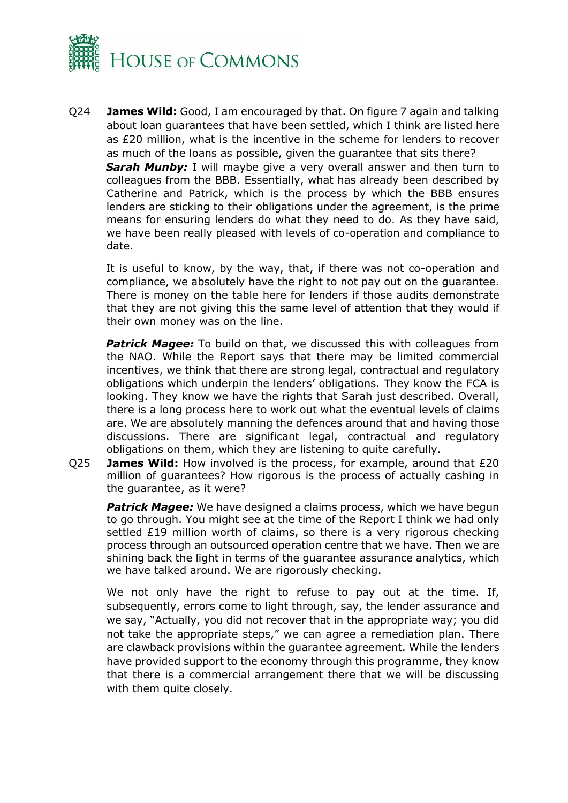

Q24 **James Wild:** Good, I am encouraged by that. On figure 7 again and talking about loan guarantees that have been settled, which I think are listed here as £20 million, what is the incentive in the scheme for lenders to recover as much of the loans as possible, given the guarantee that sits there? *Sarah Munby:* I will maybe give a very overall answer and then turn to colleagues from the BBB. Essentially, what has already been described by Catherine and Patrick, which is the process by which the BBB ensures lenders are sticking to their obligations under the agreement, is the prime means for ensuring lenders do what they need to do. As they have said, we have been really pleased with levels of co-operation and compliance to date.

It is useful to know, by the way, that, if there was not co-operation and compliance, we absolutely have the right to not pay out on the guarantee. There is money on the table here for lenders if those audits demonstrate that they are not giving this the same level of attention that they would if their own money was on the line.

**Patrick Magee:** To build on that, we discussed this with colleagues from the NAO. While the Report says that there may be limited commercial incentives, we think that there are strong legal, contractual and regulatory obligations which underpin the lenders' obligations. They know the FCA is looking. They know we have the rights that Sarah just described. Overall, there is a long process here to work out what the eventual levels of claims are. We are absolutely manning the defences around that and having those discussions. There are significant legal, contractual and regulatory obligations on them, which they are listening to quite carefully.

Q25 **James Wild:** How involved is the process, for example, around that £20 million of guarantees? How rigorous is the process of actually cashing in the guarantee, as it were?

**Patrick Magee:** We have designed a claims process, which we have begun to go through. You might see at the time of the Report I think we had only settled £19 million worth of claims, so there is a very rigorous checking process through an outsourced operation centre that we have. Then we are shining back the light in terms of the guarantee assurance analytics, which we have talked around. We are rigorously checking.

We not only have the right to refuse to pay out at the time. If, subsequently, errors come to light through, say, the lender assurance and we say, "Actually, you did not recover that in the appropriate way; you did not take the appropriate steps," we can agree a remediation plan. There are clawback provisions within the guarantee agreement. While the lenders have provided support to the economy through this programme, they know that there is a commercial arrangement there that we will be discussing with them quite closely.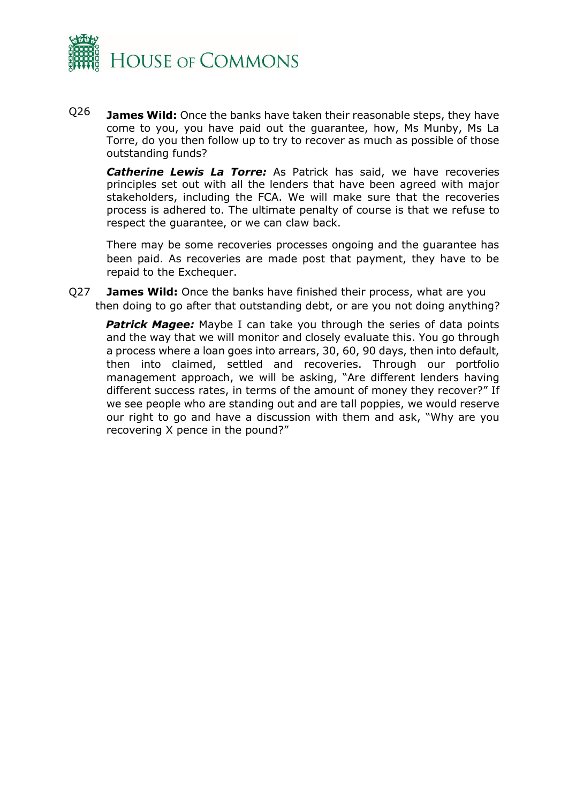

Q26 **James Wild:** Once the banks have taken their reasonable steps, they have come to you, you have paid out the guarantee, how, Ms Munby, Ms La Torre, do you then follow up to try to recover as much as possible of those outstanding funds?

*Catherine Lewis La Torre:* As Patrick has said, we have recoveries principles set out with all the lenders that have been agreed with major stakeholders, including the FCA. We will make sure that the recoveries process is adhered to. The ultimate penalty of course is that we refuse to respect the guarantee, or we can claw back.

There may be some recoveries processes ongoing and the guarantee has been paid. As recoveries are made post that payment, they have to be repaid to the Exchequer.

Q27 **James Wild:** Once the banks have finished their process, what are you then doing to go after that outstanding debt, or are you not doing anything?

**Patrick Magee:** Maybe I can take you through the series of data points and the way that we will monitor and closely evaluate this. You go through a process where a loan goes into arrears, 30, 60, 90 days, then into default, then into claimed, settled and recoveries. Through our portfolio management approach, we will be asking, "Are different lenders having different success rates, in terms of the amount of money they recover?" If we see people who are standing out and are tall poppies, we would reserve our right to go and have a discussion with them and ask, "Why are you recovering X pence in the pound?"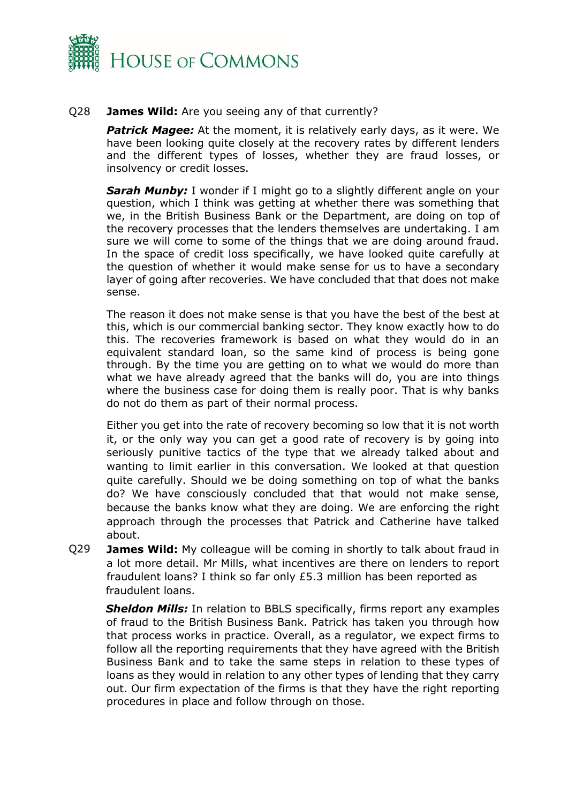

#### Q28 **James Wild:** Are you seeing any of that currently?

**Patrick Magee:** At the moment, it is relatively early days, as it were. We have been looking quite closely at the recovery rates by different lenders and the different types of losses, whether they are fraud losses, or insolvency or credit losses.

**Sarah Munby:** I wonder if I might go to a slightly different angle on your question, which I think was getting at whether there was something that we, in the British Business Bank or the Department, are doing on top of the recovery processes that the lenders themselves are undertaking. I am sure we will come to some of the things that we are doing around fraud. In the space of credit loss specifically, we have looked quite carefully at the question of whether it would make sense for us to have a secondary layer of going after recoveries. We have concluded that that does not make sense.

The reason it does not make sense is that you have the best of the best at this, which is our commercial banking sector. They know exactly how to do this. The recoveries framework is based on what they would do in an equivalent standard loan, so the same kind of process is being gone through. By the time you are getting on to what we would do more than what we have already agreed that the banks will do, you are into things where the business case for doing them is really poor. That is why banks do not do them as part of their normal process.

Either you get into the rate of recovery becoming so low that it is not worth it, or the only way you can get a good rate of recovery is by going into seriously punitive tactics of the type that we already talked about and wanting to limit earlier in this conversation. We looked at that question quite carefully. Should we be doing something on top of what the banks do? We have consciously concluded that that would not make sense, because the banks know what they are doing. We are enforcing the right approach through the processes that Patrick and Catherine have talked about.

Q29 **James Wild:** My colleague will be coming in shortly to talk about fraud in a lot more detail. Mr Mills, what incentives are there on lenders to report fraudulent loans? I think so far only £5.3 million has been reported as fraudulent loans.

**Sheldon Mills:** In relation to BBLS specifically, firms report any examples of fraud to the British Business Bank. Patrick has taken you through how that process works in practice. Overall, as a regulator, we expect firms to follow all the reporting requirements that they have agreed with the British Business Bank and to take the same steps in relation to these types of loans as they would in relation to any other types of lending that they carry out. Our firm expectation of the firms is that they have the right reporting procedures in place and follow through on those.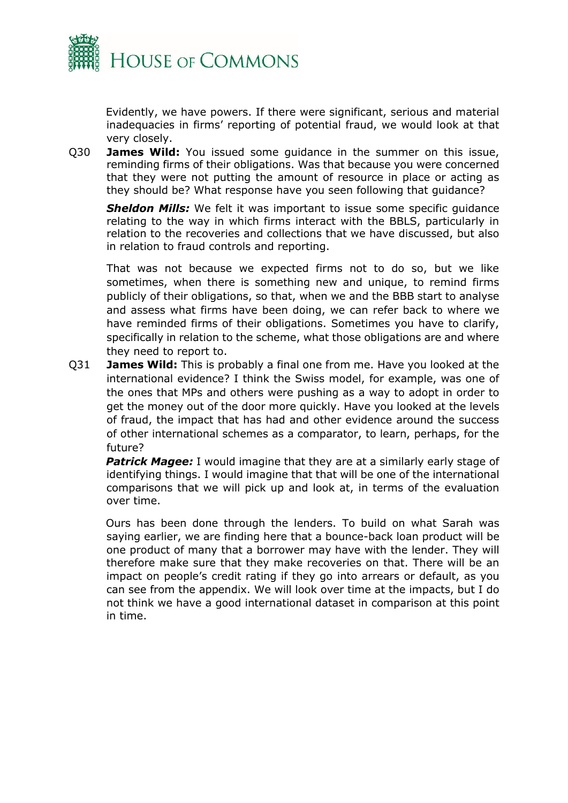

Evidently, we have powers. If there were significant, serious and material inadequacies in firms' reporting of potential fraud, we would look at that very closely.

Q30 **James Wild:** You issued some guidance in the summer on this issue, reminding firms of their obligations. Was that because you were concerned that they were not putting the amount of resource in place or acting as they should be? What response have you seen following that guidance?

**Sheldon Mills:** We felt it was important to issue some specific quidance relating to the way in which firms interact with the BBLS, particularly in relation to the recoveries and collections that we have discussed, but also in relation to fraud controls and reporting.

That was not because we expected firms not to do so, but we like sometimes, when there is something new and unique, to remind firms publicly of their obligations, so that, when we and the BBB start to analyse and assess what firms have been doing, we can refer back to where we have reminded firms of their obligations. Sometimes you have to clarify, specifically in relation to the scheme, what those obligations are and where they need to report to.

Q31 **James Wild:** This is probably a final one from me. Have you looked at the international evidence? I think the Swiss model, for example, was one of the ones that MPs and others were pushing as a way to adopt in order to get the money out of the door more quickly. Have you looked at the levels of fraud, the impact that has had and other evidence around the success of other international schemes as a comparator, to learn, perhaps, for the future?

**Patrick Magee:** I would imagine that they are at a similarly early stage of identifying things. I would imagine that that will be one of the international comparisons that we will pick up and look at, in terms of the evaluation over time.

Ours has been done through the lenders. To build on what Sarah was saying earlier, we are finding here that a bounce-back loan product will be one product of many that a borrower may have with the lender. They will therefore make sure that they make recoveries on that. There will be an impact on people's credit rating if they go into arrears or default, as you can see from the appendix. We will look over time at the impacts, but I do not think we have a good international dataset in comparison at this point in time.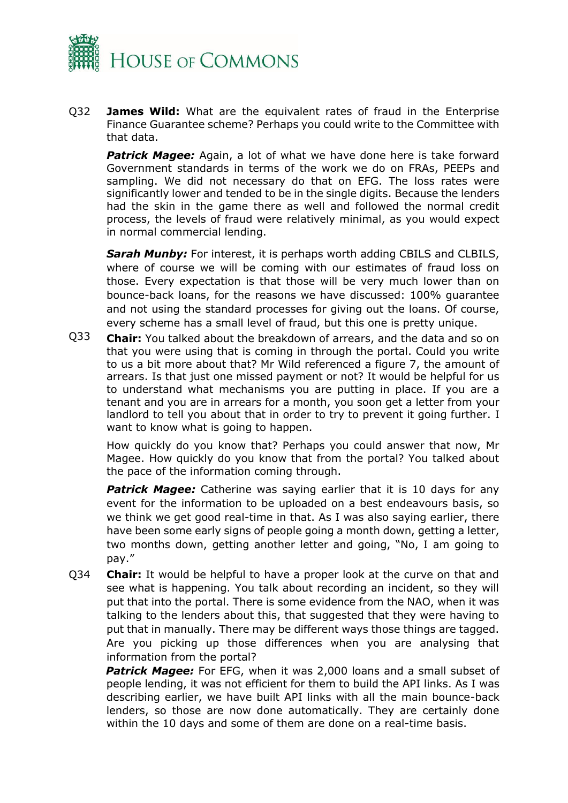

Q32 **James Wild:** What are the equivalent rates of fraud in the Enterprise Finance Guarantee scheme? Perhaps you could write to the Committee with that data.

*Patrick Magee:* Again, a lot of what we have done here is take forward Government standards in terms of the work we do on FRAs, PEEPs and sampling. We did not necessary do that on EFG. The loss rates were significantly lower and tended to be in the single digits. Because the lenders had the skin in the game there as well and followed the normal credit process, the levels of fraud were relatively minimal, as you would expect in normal commercial lending.

**Sarah Munby:** For interest, it is perhaps worth adding CBILS and CLBILS, where of course we will be coming with our estimates of fraud loss on those. Every expectation is that those will be very much lower than on bounce-back loans, for the reasons we have discussed: 100% guarantee and not using the standard processes for giving out the loans. Of course, every scheme has a small level of fraud, but this one is pretty unique.

Q33 **Chair:** You talked about the breakdown of arrears, and the data and so on that you were using that is coming in through the portal. Could you write to us a bit more about that? Mr Wild referenced a figure 7, the amount of arrears. Is that just one missed payment or not? It would be helpful for us to understand what mechanisms you are putting in place. If you are a tenant and you are in arrears for a month, you soon get a letter from your landlord to tell you about that in order to try to prevent it going further. I want to know what is going to happen.

How quickly do you know that? Perhaps you could answer that now, Mr Magee. How quickly do you know that from the portal? You talked about the pace of the information coming through.

**Patrick Magee:** Catherine was saying earlier that it is 10 days for any event for the information to be uploaded on a best endeavours basis, so we think we get good real-time in that. As I was also saying earlier, there have been some early signs of people going a month down, getting a letter, two months down, getting another letter and going, "No, I am going to pay."

Q34 **Chair:** It would be helpful to have a proper look at the curve on that and see what is happening. You talk about recording an incident, so they will put that into the portal. There is some evidence from the NAO, when it was talking to the lenders about this, that suggested that they were having to put that in manually. There may be different ways those things are tagged. Are you picking up those differences when you are analysing that information from the portal?

**Patrick Magee:** For EFG, when it was 2,000 loans and a small subset of people lending, it was not efficient for them to build the API links. As I was describing earlier, we have built API links with all the main bounce-back lenders, so those are now done automatically. They are certainly done within the 10 days and some of them are done on a real-time basis.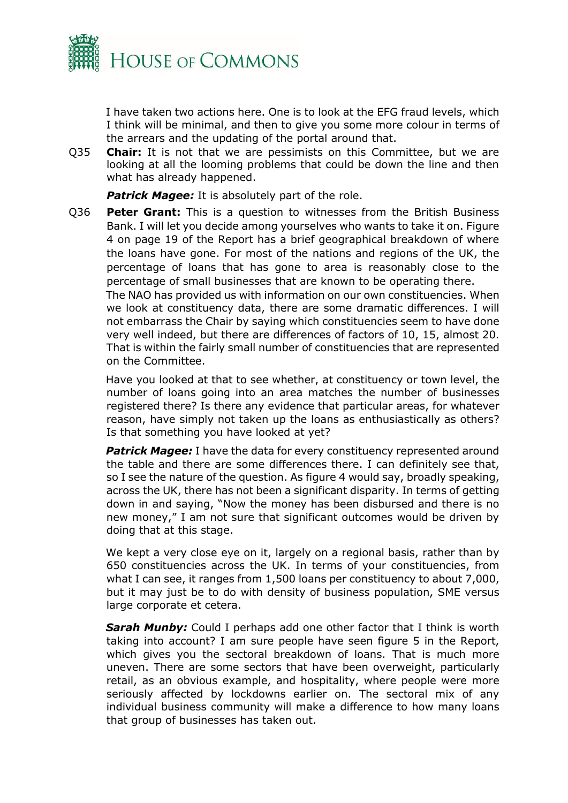

on the Committee.

I have taken two actions here. One is to look at the EFG fraud levels, which I think will be minimal, and then to give you some more colour in terms of the arrears and the updating of the portal around that.

Q35 **Chair:** It is not that we are pessimists on this Committee, but we are looking at all the looming problems that could be down the line and then what has already happened.

**Patrick Magee:** It is absolutely part of the role.

Q36 **Peter Grant:** This is a question to witnesses from the British Business Bank. I will let you decide among yourselves who wants to take it on. Figure 4 on page 19 of the Report has a brief geographical breakdown of where the loans have gone. For most of the nations and regions of the UK, the percentage of loans that has gone to area is reasonably close to the percentage of small businesses that are known to be operating there. The NAO has provided us with information on our own constituencies. When we look at constituency data, there are some dramatic differences. I will not embarrass the Chair by saying which constituencies seem to have done very well indeed, but there are differences of factors of 10, 15, almost 20.

Have you looked at that to see whether, at constituency or town level, the number of loans going into an area matches the number of businesses registered there? Is there any evidence that particular areas, for whatever reason, have simply not taken up the loans as enthusiastically as others? Is that something you have looked at yet?

That is within the fairly small number of constituencies that are represented

**Patrick Magee:** I have the data for every constituency represented around the table and there are some differences there. I can definitely see that, so I see the nature of the question. As figure 4 would say, broadly speaking, across the UK, there has not been a significant disparity. In terms of getting down in and saying, "Now the money has been disbursed and there is no new money," I am not sure that significant outcomes would be driven by doing that at this stage.

We kept a very close eye on it, largely on a regional basis, rather than by 650 constituencies across the UK. In terms of your constituencies, from what I can see, it ranges from 1,500 loans per constituency to about 7,000, but it may just be to do with density of business population, SME versus large corporate et cetera.

**Sarah Munby:** Could I perhaps add one other factor that I think is worth taking into account? I am sure people have seen figure 5 in the Report, which gives you the sectoral breakdown of loans. That is much more uneven. There are some sectors that have been overweight, particularly retail, as an obvious example, and hospitality, where people were more seriously affected by lockdowns earlier on. The sectoral mix of any individual business community will make a difference to how many loans that group of businesses has taken out.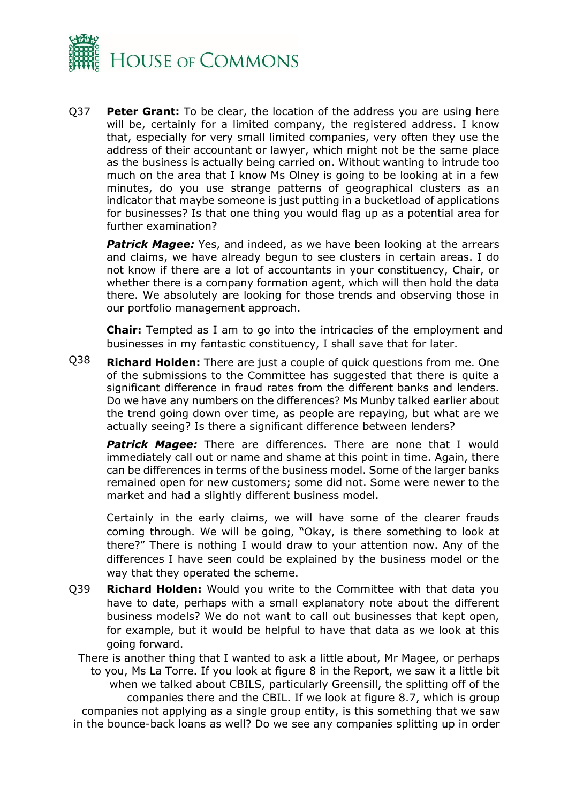

Q37 **Peter Grant:** To be clear, the location of the address you are using here will be, certainly for a limited company, the registered address. I know that, especially for very small limited companies, very often they use the address of their accountant or lawyer, which might not be the same place as the business is actually being carried on. Without wanting to intrude too much on the area that I know Ms Olney is going to be looking at in a few minutes, do you use strange patterns of geographical clusters as an indicator that maybe someone is just putting in a bucketload of applications for businesses? Is that one thing you would flag up as a potential area for further examination?

**Patrick Magee:** Yes, and indeed, as we have been looking at the arrears and claims, we have already begun to see clusters in certain areas. I do not know if there are a lot of accountants in your constituency, Chair, or whether there is a company formation agent, which will then hold the data there. We absolutely are looking for those trends and observing those in our portfolio management approach.

**Chair:** Tempted as I am to go into the intricacies of the employment and businesses in my fantastic constituency, I shall save that for later.

Q38 **Richard Holden:** There are just a couple of quick questions from me. One of the submissions to the Committee has suggested that there is quite a significant difference in fraud rates from the different banks and lenders. Do we have any numbers on the differences? Ms Munby talked earlier about the trend going down over time, as people are repaying, but what are we actually seeing? Is there a significant difference between lenders?

**Patrick Magee:** There are differences. There are none that I would immediately call out or name and shame at this point in time. Again, there can be differences in terms of the business model. Some of the larger banks remained open for new customers; some did not. Some were newer to the market and had a slightly different business model.

Certainly in the early claims, we will have some of the clearer frauds coming through. We will be going, "Okay, is there something to look at there?" There is nothing I would draw to your attention now. Any of the differences I have seen could be explained by the business model or the way that they operated the scheme.

Q39 **Richard Holden:** Would you write to the Committee with that data you have to date, perhaps with a small explanatory note about the different business models? We do not want to call out businesses that kept open, for example, but it would be helpful to have that data as we look at this going forward.

There is another thing that I wanted to ask a little about, Mr Magee, or perhaps to you, Ms La Torre. If you look at figure 8 in the Report, we saw it a little bit when we talked about CBILS, particularly Greensill, the splitting off of the companies there and the CBIL. If we look at figure 8.7, which is group companies not applying as a single group entity, is this something that we saw in the bounce-back loans as well? Do we see any companies splitting up in order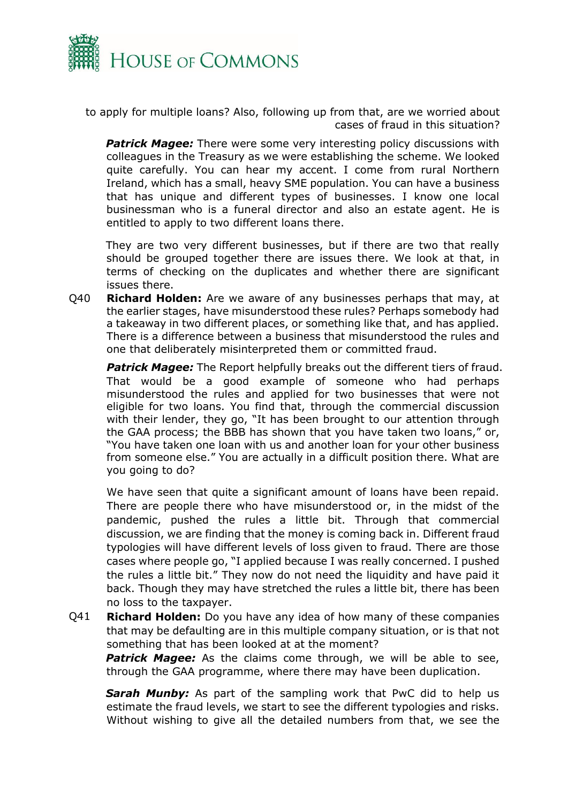

to apply for multiple loans? Also, following up from that, are we worried about cases of fraud in this situation?

*Patrick Magee:* There were some very interesting policy discussions with colleagues in the Treasury as we were establishing the scheme. We looked quite carefully. You can hear my accent. I come from rural Northern Ireland, which has a small, heavy SME population. You can have a business that has unique and different types of businesses. I know one local businessman who is a funeral director and also an estate agent. He is entitled to apply to two different loans there.

They are two very different businesses, but if there are two that really should be grouped together there are issues there. We look at that, in terms of checking on the duplicates and whether there are significant issues there.

Q40 **Richard Holden:** Are we aware of any businesses perhaps that may, at the earlier stages, have misunderstood these rules? Perhaps somebody had a takeaway in two different places, or something like that, and has applied. There is a difference between a business that misunderstood the rules and one that deliberately misinterpreted them or committed fraud.

**Patrick Magee:** The Report helpfully breaks out the different tiers of fraud. That would be a good example of someone who had perhaps misunderstood the rules and applied for two businesses that were not eligible for two loans. You find that, through the commercial discussion with their lender, they go, "It has been brought to our attention through the GAA process; the BBB has shown that you have taken two loans," or, "You have taken one loan with us and another loan for your other business from someone else." You are actually in a difficult position there. What are you going to do?

We have seen that quite a significant amount of loans have been repaid. There are people there who have misunderstood or, in the midst of the pandemic, pushed the rules a little bit. Through that commercial discussion, we are finding that the money is coming back in. Different fraud typologies will have different levels of loss given to fraud. There are those cases where people go, "I applied because I was really concerned. I pushed the rules a little bit." They now do not need the liquidity and have paid it back. Though they may have stretched the rules a little bit, there has been no loss to the taxpayer.

Q41 **Richard Holden:** Do you have any idea of how many of these companies that may be defaulting are in this multiple company situation, or is that not something that has been looked at at the moment?

**Patrick Magee:** As the claims come through, we will be able to see, through the GAA programme, where there may have been duplication.

*Sarah Munby:* As part of the sampling work that PwC did to help us estimate the fraud levels, we start to see the different typologies and risks. Without wishing to give all the detailed numbers from that, we see the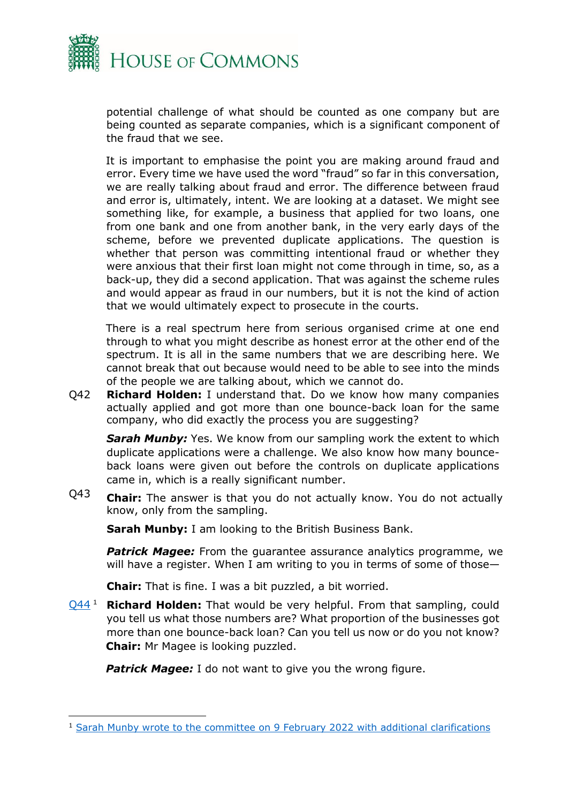

potential challenge of what should be counted as one company but are being counted as separate companies, which is a significant component of the fraud that we see.

It is important to emphasise the point you are making around fraud and error. Every time we have used the word "fraud" so far in this conversation, we are really talking about fraud and error. The difference between fraud and error is, ultimately, intent. We are looking at a dataset. We might see something like, for example, a business that applied for two loans, one from one bank and one from another bank, in the very early days of the scheme, before we prevented duplicate applications. The question is whether that person was committing intentional fraud or whether they were anxious that their first loan might not come through in time, so, as a back-up, they did a second application. That was against the scheme rules and would appear as fraud in our numbers, but it is not the kind of action that we would ultimately expect to prosecute in the courts.

There is a real spectrum here from serious organised crime at one end through to what you might describe as honest error at the other end of the spectrum. It is all in the same numbers that we are describing here. We cannot break that out because would need to be able to see into the minds of the people we are talking about, which we cannot do.

Q42 **Richard Holden:** I understand that. Do we know how many companies actually applied and got more than one bounce-back loan for the same company, who did exactly the process you are suggesting?

**Sarah Munby:** Yes. We know from our sampling work the extent to which duplicate applications were a challenge. We also know how many bounceback loans were given out before the controls on duplicate applications came in, which is a really significant number.

Q43 **Chair:** The answer is that you do not actually know. You do not actually know, only from the sampling.

**Sarah Munby:** I am looking to the British Business Bank.

*Patrick Magee:* From the guarantee assurance analytics programme, we will have a register. When I am writing to you in terms of some of those—

**Chair:** That is fine. I was a bit puzzled, a bit worried.

[Q44](https://committees.parliament.uk/publications/8918/documents/152359/default/) <sup>1</sup> **Richard Holden:** That would be very helpful. From that sampling, could you tell us what those numbers are? What proportion of the businesses got more than one bounce-back loan? Can you tell us now or do you not know? **Chair:** Mr Magee is looking puzzled.

**Patrick Magee:** I do not want to give you the wrong figure.

<sup>1</sup> [Sarah Munby wrote to the committee](https://committees.parliament.uk/publications/8918/documents/152359/default/) on 9 February 2022 with additional clarifications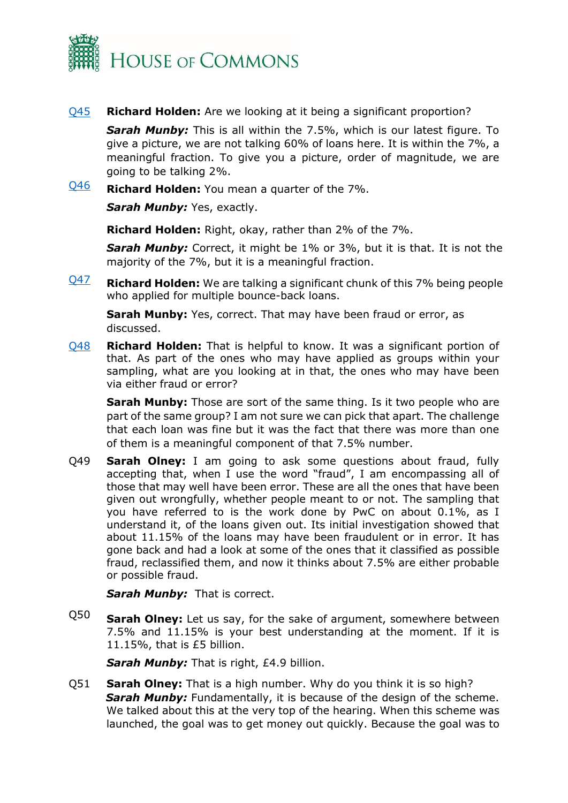

#### [Q45](https://committees.parliament.uk/publications/8918/documents/152359/default/) **Richard Holden:** Are we looking at it being a significant proportion?

*Sarah Munby:* This is all within the 7.5%, which is our latest figure. To give a picture, we are not talking 60% of loans here. It is within the 7%, a meaningful fraction. To give you a picture, order of magnitude, we are going to be talking 2%.

[Q46](https://committees.parliament.uk/publications/8918/documents/152359/default/) **Richard Holden:** You mean a quarter of the 7%.

**Sarah Munby: Yes, exactly.** 

**Richard Holden:** Right, okay, rather than 2% of the 7%.

*Sarah Munby:* Correct, it might be 1% or 3%, but it is that. It is not the majority of the 7%, but it is a meaningful fraction.

[Q47](https://committees.parliament.uk/publications/8918/documents/152359/default/) **Richard Holden:** We are talking a significant chunk of this 7% being people who applied for multiple bounce-back loans.

**Sarah Munby:** Yes, correct. That may have been fraud or error, as discussed.

[Q48](https://committees.parliament.uk/publications/8918/documents/152359/default/) **Richard Holden:** That is helpful to know. It was a significant portion of that. As part of the ones who may have applied as groups within your sampling, what are you looking at in that, the ones who may have been via either fraud or error?

**Sarah Munby:** Those are sort of the same thing. Is it two people who are part of the same group? I am not sure we can pick that apart. The challenge that each loan was fine but it was the fact that there was more than one of them is a meaningful component of that 7.5% number.

Q49 **Sarah Olney:** I am going to ask some questions about fraud, fully accepting that, when I use the word "fraud", I am encompassing all of those that may well have been error. These are all the ones that have been given out wrongfully, whether people meant to or not. The sampling that you have referred to is the work done by PwC on about 0.1%, as I understand it, of the loans given out. Its initial investigation showed that about 11.15% of the loans may have been fraudulent or in error. It has gone back and had a look at some of the ones that it classified as possible fraud, reclassified them, and now it thinks about 7.5% are either probable or possible fraud.

**Sarah Munby:** That is correct.

Q50 **Sarah Olney:** Let us say, for the sake of argument, somewhere between 7.5% and 11.15% is your best understanding at the moment. If it is 11.15%, that is £5 billion.

**Sarah Munby:** That is right, £4.9 billion.

Q51 **Sarah Olney:** That is a high number. Why do you think it is so high? **Sarah Munby:** Fundamentally, it is because of the design of the scheme. We talked about this at the very top of the hearing. When this scheme was launched, the goal was to get money out quickly. Because the goal was to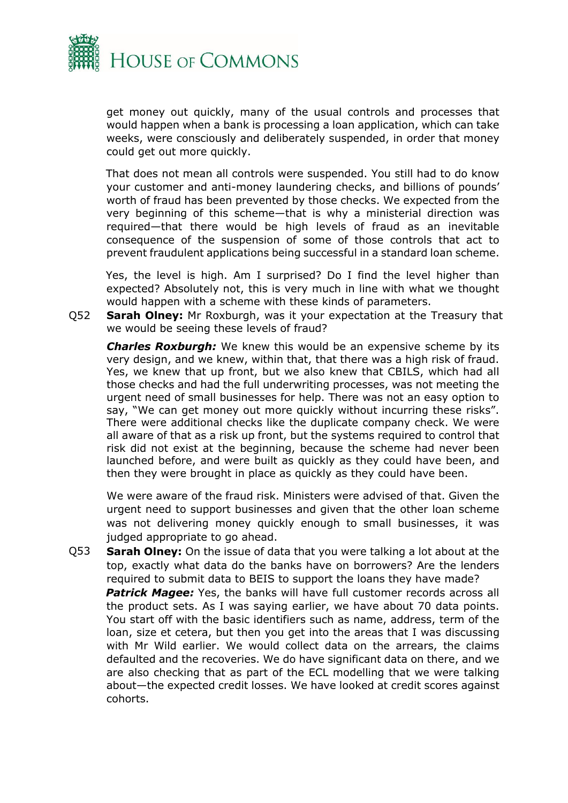

get money out quickly, many of the usual controls and processes that would happen when a bank is processing a loan application, which can take weeks, were consciously and deliberately suspended, in order that money could get out more quickly.

That does not mean all controls were suspended. You still had to do know your customer and anti-money laundering checks, and billions of pounds' worth of fraud has been prevented by those checks. We expected from the very beginning of this scheme—that is why a ministerial direction was required—that there would be high levels of fraud as an inevitable consequence of the suspension of some of those controls that act to prevent fraudulent applications being successful in a standard loan scheme.

Yes, the level is high. Am I surprised? Do I find the level higher than expected? Absolutely not, this is very much in line with what we thought would happen with a scheme with these kinds of parameters.

Q52 **Sarah Olney:** Mr Roxburgh, was it your expectation at the Treasury that we would be seeing these levels of fraud?

*Charles Roxburgh:* We knew this would be an expensive scheme by its very design, and we knew, within that, that there was a high risk of fraud. Yes, we knew that up front, but we also knew that CBILS, which had all those checks and had the full underwriting processes, was not meeting the urgent need of small businesses for help. There was not an easy option to say, "We can get money out more quickly without incurring these risks". There were additional checks like the duplicate company check. We were all aware of that as a risk up front, but the systems required to control that risk did not exist at the beginning, because the scheme had never been launched before, and were built as quickly as they could have been, and then they were brought in place as quickly as they could have been.

We were aware of the fraud risk. Ministers were advised of that. Given the urgent need to support businesses and given that the other loan scheme was not delivering money quickly enough to small businesses, it was judged appropriate to go ahead.

Q53 **Sarah Olney:** On the issue of data that you were talking a lot about at the top, exactly what data do the banks have on borrowers? Are the lenders required to submit data to BEIS to support the loans they have made? **Patrick Magee:** Yes, the banks will have full customer records across all the product sets. As I was saying earlier, we have about 70 data points. You start off with the basic identifiers such as name, address, term of the loan, size et cetera, but then you get into the areas that I was discussing with Mr Wild earlier. We would collect data on the arrears, the claims defaulted and the recoveries. We do have significant data on there, and we are also checking that as part of the ECL modelling that we were talking about—the expected credit losses. We have looked at credit scores against cohorts.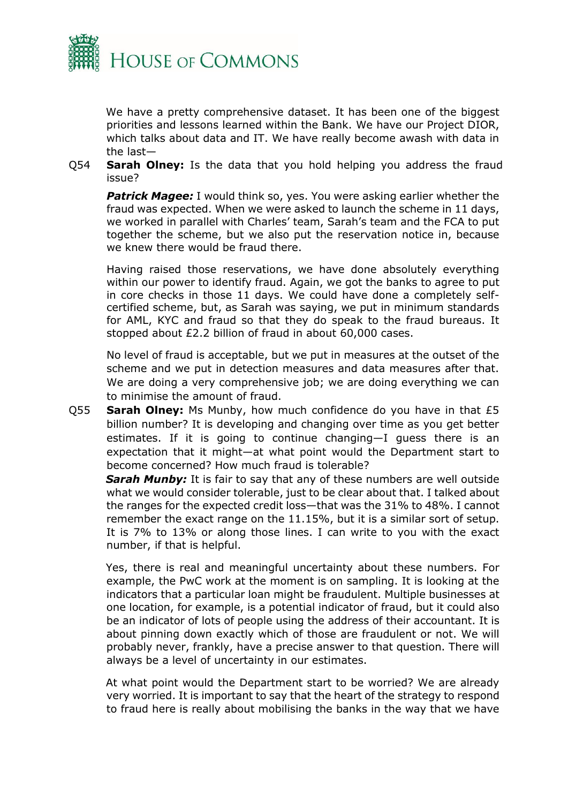

We have a pretty comprehensive dataset. It has been one of the biggest priorities and lessons learned within the Bank. We have our Project DIOR, which talks about data and IT. We have really become awash with data in the last—

Q54 **Sarah Olney:** Is the data that you hold helping you address the fraud issue?

**Patrick Magee:** I would think so, yes. You were asking earlier whether the fraud was expected. When we were asked to launch the scheme in 11 days, we worked in parallel with Charles' team, Sarah's team and the FCA to put together the scheme, but we also put the reservation notice in, because we knew there would be fraud there.

Having raised those reservations, we have done absolutely everything within our power to identify fraud. Again, we got the banks to agree to put in core checks in those 11 days. We could have done a completely selfcertified scheme, but, as Sarah was saying, we put in minimum standards for AML, KYC and fraud so that they do speak to the fraud bureaus. It stopped about £2.2 billion of fraud in about 60,000 cases.

No level of fraud is acceptable, but we put in measures at the outset of the scheme and we put in detection measures and data measures after that. We are doing a very comprehensive job; we are doing everything we can to minimise the amount of fraud.

Q55 **Sarah Olney:** Ms Munby, how much confidence do you have in that £5 billion number? It is developing and changing over time as you get better estimates. If it is going to continue changing—I guess there is an expectation that it might—at what point would the Department start to become concerned? How much fraud is tolerable?

**Sarah Munby:** It is fair to say that any of these numbers are well outside what we would consider tolerable, just to be clear about that. I talked about the ranges for the expected credit loss—that was the 31% to 48%. I cannot remember the exact range on the 11.15%, but it is a similar sort of setup. It is 7% to 13% or along those lines. I can write to you with the exact number, if that is helpful.

Yes, there is real and meaningful uncertainty about these numbers. For example, the PwC work at the moment is on sampling. It is looking at the indicators that a particular loan might be fraudulent. Multiple businesses at one location, for example, is a potential indicator of fraud, but it could also be an indicator of lots of people using the address of their accountant. It is about pinning down exactly which of those are fraudulent or not. We will probably never, frankly, have a precise answer to that question. There will always be a level of uncertainty in our estimates.

At what point would the Department start to be worried? We are already very worried. It is important to say that the heart of the strategy to respond to fraud here is really about mobilising the banks in the way that we have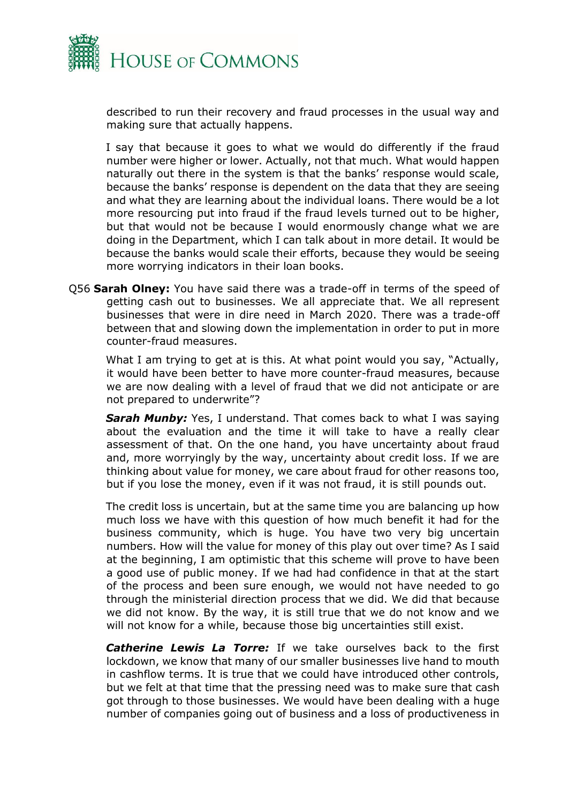

described to run their recovery and fraud processes in the usual way and making sure that actually happens.

I say that because it goes to what we would do differently if the fraud number were higher or lower. Actually, not that much. What would happen naturally out there in the system is that the banks' response would scale, because the banks' response is dependent on the data that they are seeing and what they are learning about the individual loans. There would be a lot more resourcing put into fraud if the fraud levels turned out to be higher, but that would not be because I would enormously change what we are doing in the Department, which I can talk about in more detail. It would be because the banks would scale their efforts, because they would be seeing more worrying indicators in their loan books.

Q56 **Sarah Olney:** You have said there was a trade-off in terms of the speed of getting cash out to businesses. We all appreciate that. We all represent businesses that were in dire need in March 2020. There was a trade-off between that and slowing down the implementation in order to put in more counter-fraud measures.

What I am trying to get at is this. At what point would you say, "Actually, it would have been better to have more counter-fraud measures, because we are now dealing with a level of fraud that we did not anticipate or are not prepared to underwrite"?

**Sarah Munby:** Yes, I understand. That comes back to what I was saying about the evaluation and the time it will take to have a really clear assessment of that. On the one hand, you have uncertainty about fraud and, more worryingly by the way, uncertainty about credit loss. If we are thinking about value for money, we care about fraud for other reasons too, but if you lose the money, even if it was not fraud, it is still pounds out.

The credit loss is uncertain, but at the same time you are balancing up how much loss we have with this question of how much benefit it had for the business community, which is huge. You have two very big uncertain numbers. How will the value for money of this play out over time? As I said at the beginning, I am optimistic that this scheme will prove to have been a good use of public money. If we had had confidence in that at the start of the process and been sure enough, we would not have needed to go through the ministerial direction process that we did. We did that because we did not know. By the way, it is still true that we do not know and we will not know for a while, because those big uncertainties still exist.

*Catherine Lewis La Torre:* If we take ourselves back to the first lockdown, we know that many of our smaller businesses live hand to mouth in cashflow terms. It is true that we could have introduced other controls, but we felt at that time that the pressing need was to make sure that cash got through to those businesses. We would have been dealing with a huge number of companies going out of business and a loss of productiveness in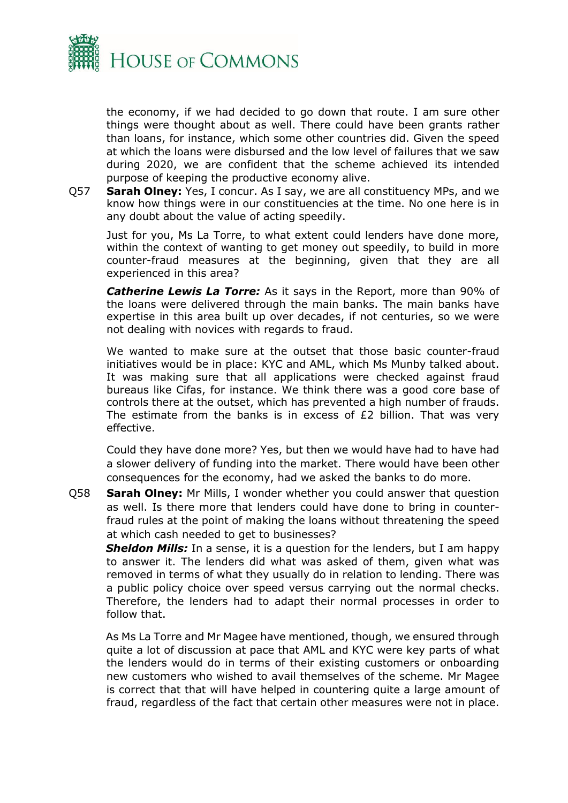

the economy, if we had decided to go down that route. I am sure other things were thought about as well. There could have been grants rather than loans, for instance, which some other countries did. Given the speed at which the loans were disbursed and the low level of failures that we saw during 2020, we are confident that the scheme achieved its intended purpose of keeping the productive economy alive.

Q57 **Sarah Olney:** Yes, I concur. As I say, we are all constituency MPs, and we know how things were in our constituencies at the time. No one here is in any doubt about the value of acting speedily.

Just for you, Ms La Torre, to what extent could lenders have done more, within the context of wanting to get money out speedily, to build in more counter-fraud measures at the beginning, given that they are all experienced in this area?

*Catherine Lewis La Torre:* As it says in the Report, more than 90% of the loans were delivered through the main banks. The main banks have expertise in this area built up over decades, if not centuries, so we were not dealing with novices with regards to fraud.

We wanted to make sure at the outset that those basic counter-fraud initiatives would be in place: KYC and AML, which Ms Munby talked about. It was making sure that all applications were checked against fraud bureaus like Cifas, for instance. We think there was a good core base of controls there at the outset, which has prevented a high number of frauds. The estimate from the banks is in excess of  $E2$  billion. That was very effective.

Could they have done more? Yes, but then we would have had to have had a slower delivery of funding into the market. There would have been other consequences for the economy, had we asked the banks to do more.

Q58 **Sarah Olney:** Mr Mills, I wonder whether you could answer that question as well. Is there more that lenders could have done to bring in counterfraud rules at the point of making the loans without threatening the speed at which cash needed to get to businesses?

*Sheldon Mills:* In a sense, it is a question for the lenders, but I am happy to answer it. The lenders did what was asked of them, given what was removed in terms of what they usually do in relation to lending. There was a public policy choice over speed versus carrying out the normal checks. Therefore, the lenders had to adapt their normal processes in order to follow that.

As Ms La Torre and Mr Magee have mentioned, though, we ensured through quite a lot of discussion at pace that AML and KYC were key parts of what the lenders would do in terms of their existing customers or onboarding new customers who wished to avail themselves of the scheme. Mr Magee is correct that that will have helped in countering quite a large amount of fraud, regardless of the fact that certain other measures were not in place.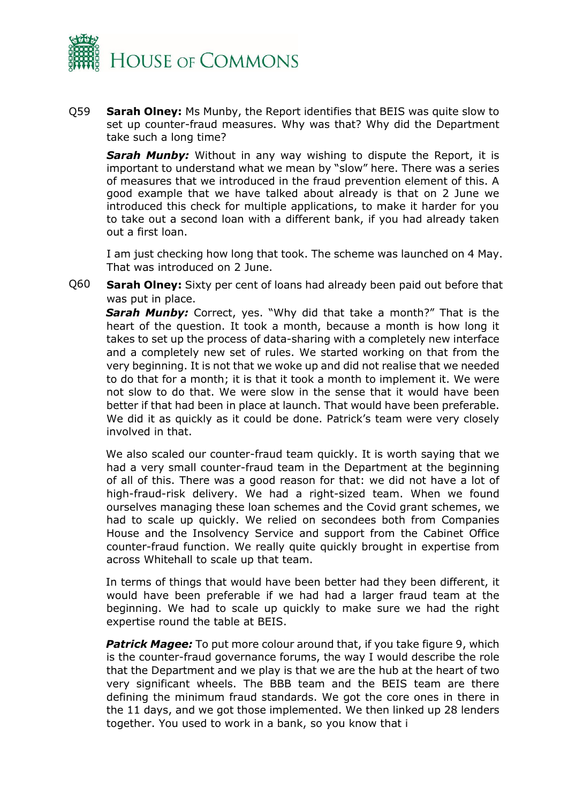

Q59 **Sarah Olney:** Ms Munby, the Report identifies that BEIS was quite slow to set up counter-fraud measures. Why was that? Why did the Department take such a long time?

**Sarah Munby:** Without in any way wishing to dispute the Report, it is important to understand what we mean by "slow" here. There was a series of measures that we introduced in the fraud prevention element of this. A good example that we have talked about already is that on 2 June we introduced this check for multiple applications, to make it harder for you to take out a second loan with a different bank, if you had already taken out a first loan.

I am just checking how long that took. The scheme was launched on 4 May. That was introduced on 2 June.

Q60 **Sarah Olney:** Sixty per cent of loans had already been paid out before that was put in place.

*Sarah Munby:* Correct, yes. "Why did that take a month?" That is the heart of the question. It took a month, because a month is how long it takes to set up the process of data-sharing with a completely new interface and a completely new set of rules. We started working on that from the very beginning. It is not that we woke up and did not realise that we needed to do that for a month; it is that it took a month to implement it. We were not slow to do that. We were slow in the sense that it would have been better if that had been in place at launch. That would have been preferable. We did it as quickly as it could be done. Patrick's team were very closely involved in that.

We also scaled our counter-fraud team quickly. It is worth saying that we had a very small counter-fraud team in the Department at the beginning of all of this. There was a good reason for that: we did not have a lot of high-fraud-risk delivery. We had a right-sized team. When we found ourselves managing these loan schemes and the Covid grant schemes, we had to scale up quickly. We relied on secondees both from Companies House and the Insolvency Service and support from the Cabinet Office counter-fraud function. We really quite quickly brought in expertise from across Whitehall to scale up that team.

In terms of things that would have been better had they been different, it would have been preferable if we had had a larger fraud team at the beginning. We had to scale up quickly to make sure we had the right expertise round the table at BEIS.

*Patrick Magee:* To put more colour around that, if you take figure 9, which is the counter-fraud governance forums, the way I would describe the role that the Department and we play is that we are the hub at the heart of two very significant wheels. The BBB team and the BEIS team are there defining the minimum fraud standards. We got the core ones in there in the 11 days, and we got those implemented. We then linked up 28 lenders together. You used to work in a bank, so you know that i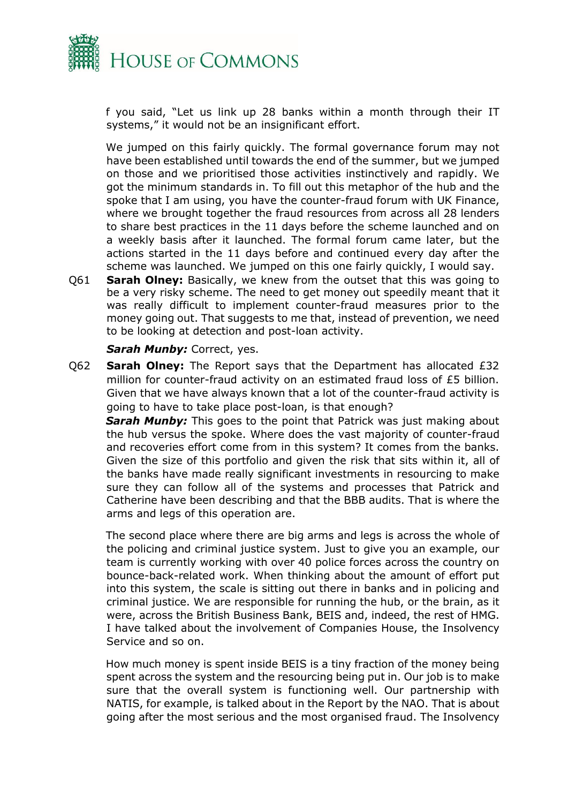

f you said, "Let us link up 28 banks within a month through their IT systems," it would not be an insignificant effort.

We jumped on this fairly quickly. The formal governance forum may not have been established until towards the end of the summer, but we jumped on those and we prioritised those activities instinctively and rapidly. We got the minimum standards in. To fill out this metaphor of the hub and the spoke that I am using, you have the counter-fraud forum with UK Finance, where we brought together the fraud resources from across all 28 lenders to share best practices in the 11 days before the scheme launched and on a weekly basis after it launched. The formal forum came later, but the actions started in the 11 days before and continued every day after the scheme was launched. We jumped on this one fairly quickly, I would say.

Q61 **Sarah Olney:** Basically, we knew from the outset that this was going to be a very risky scheme. The need to get money out speedily meant that it was really difficult to implement counter-fraud measures prior to the money going out. That suggests to me that, instead of prevention, we need to be looking at detection and post-loan activity.

#### *Sarah Munby: Correct, yes.*

Q62 **Sarah Olney:** The Report says that the Department has allocated £32 million for counter-fraud activity on an estimated fraud loss of £5 billion. Given that we have always known that a lot of the counter-fraud activity is going to have to take place post-loan, is that enough?

**Sarah Munby:** This goes to the point that Patrick was just making about the hub versus the spoke. Where does the vast majority of counter-fraud and recoveries effort come from in this system? It comes from the banks. Given the size of this portfolio and given the risk that sits within it, all of the banks have made really significant investments in resourcing to make sure they can follow all of the systems and processes that Patrick and Catherine have been describing and that the BBB audits. That is where the arms and legs of this operation are.

The second place where there are big arms and legs is across the whole of the policing and criminal justice system. Just to give you an example, our team is currently working with over 40 police forces across the country on bounce-back-related work. When thinking about the amount of effort put into this system, the scale is sitting out there in banks and in policing and criminal justice. We are responsible for running the hub, or the brain, as it were, across the British Business Bank, BEIS and, indeed, the rest of HMG. I have talked about the involvement of Companies House, the Insolvency Service and so on.

How much money is spent inside BEIS is a tiny fraction of the money being spent across the system and the resourcing being put in. Our job is to make sure that the overall system is functioning well. Our partnership with NATIS, for example, is talked about in the Report by the NAO. That is about going after the most serious and the most organised fraud. The Insolvency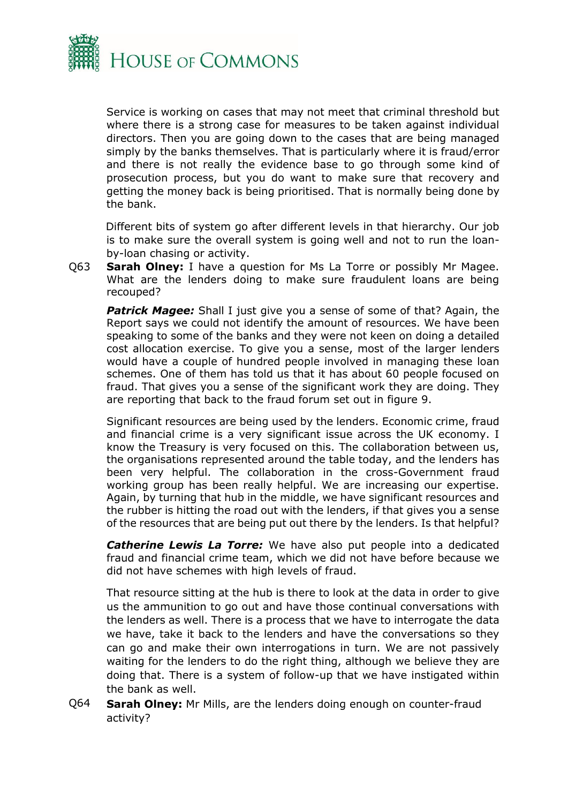

Service is working on cases that may not meet that criminal threshold but where there is a strong case for measures to be taken against individual directors. Then you are going down to the cases that are being managed simply by the banks themselves. That is particularly where it is fraud/error and there is not really the evidence base to go through some kind of prosecution process, but you do want to make sure that recovery and getting the money back is being prioritised. That is normally being done by the bank.

Different bits of system go after different levels in that hierarchy. Our job is to make sure the overall system is going well and not to run the loanby-loan chasing or activity.

Q63 **Sarah Olney:** I have a question for Ms La Torre or possibly Mr Magee. What are the lenders doing to make sure fraudulent loans are being recouped?

**Patrick Magee:** Shall I just give you a sense of some of that? Again, the Report says we could not identify the amount of resources. We have been speaking to some of the banks and they were not keen on doing a detailed cost allocation exercise. To give you a sense, most of the larger lenders would have a couple of hundred people involved in managing these loan schemes. One of them has told us that it has about 60 people focused on fraud. That gives you a sense of the significant work they are doing. They are reporting that back to the fraud forum set out in figure 9.

Significant resources are being used by the lenders. Economic crime, fraud and financial crime is a very significant issue across the UK economy. I know the Treasury is very focused on this. The collaboration between us, the organisations represented around the table today, and the lenders has been very helpful. The collaboration in the cross-Government fraud working group has been really helpful. We are increasing our expertise. Again, by turning that hub in the middle, we have significant resources and the rubber is hitting the road out with the lenders, if that gives you a sense of the resources that are being put out there by the lenders. Is that helpful?

*Catherine Lewis La Torre:* We have also put people into a dedicated fraud and financial crime team, which we did not have before because we did not have schemes with high levels of fraud.

That resource sitting at the hub is there to look at the data in order to give us the ammunition to go out and have those continual conversations with the lenders as well. There is a process that we have to interrogate the data we have, take it back to the lenders and have the conversations so they can go and make their own interrogations in turn. We are not passively waiting for the lenders to do the right thing, although we believe they are doing that. There is a system of follow-up that we have instigated within the bank as well.

Q64 **Sarah Olney:** Mr Mills, are the lenders doing enough on counter-fraud activity?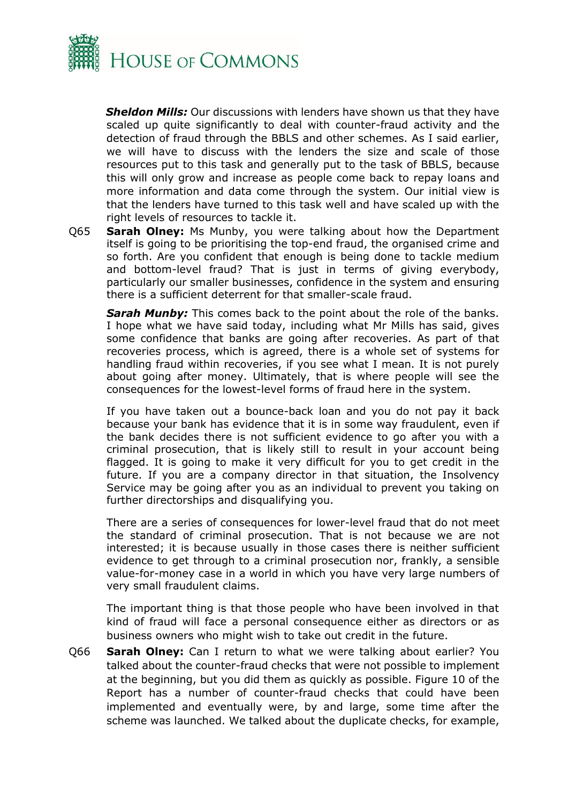

*Sheldon Mills:* Our discussions with lenders have shown us that they have scaled up quite significantly to deal with counter-fraud activity and the detection of fraud through the BBLS and other schemes. As I said earlier, we will have to discuss with the lenders the size and scale of those resources put to this task and generally put to the task of BBLS, because this will only grow and increase as people come back to repay loans and more information and data come through the system. Our initial view is that the lenders have turned to this task well and have scaled up with the right levels of resources to tackle it.

Q65 **Sarah Olney:** Ms Munby, you were talking about how the Department itself is going to be prioritising the top-end fraud, the organised crime and so forth. Are you confident that enough is being done to tackle medium and bottom-level fraud? That is just in terms of giving everybody, particularly our smaller businesses, confidence in the system and ensuring there is a sufficient deterrent for that smaller-scale fraud.

*Sarah Munby:* This comes back to the point about the role of the banks. I hope what we have said today, including what Mr Mills has said, gives some confidence that banks are going after recoveries. As part of that recoveries process, which is agreed, there is a whole set of systems for handling fraud within recoveries, if you see what I mean. It is not purely about going after money. Ultimately, that is where people will see the consequences for the lowest-level forms of fraud here in the system.

If you have taken out a bounce-back loan and you do not pay it back because your bank has evidence that it is in some way fraudulent, even if the bank decides there is not sufficient evidence to go after you with a criminal prosecution, that is likely still to result in your account being flagged. It is going to make it very difficult for you to get credit in the future. If you are a company director in that situation, the Insolvency Service may be going after you as an individual to prevent you taking on further directorships and disqualifying you.

There are a series of consequences for lower-level fraud that do not meet the standard of criminal prosecution. That is not because we are not interested; it is because usually in those cases there is neither sufficient evidence to get through to a criminal prosecution nor, frankly, a sensible value-for-money case in a world in which you have very large numbers of very small fraudulent claims.

The important thing is that those people who have been involved in that kind of fraud will face a personal consequence either as directors or as business owners who might wish to take out credit in the future.

Q66 **Sarah Olney:** Can I return to what we were talking about earlier? You talked about the counter-fraud checks that were not possible to implement at the beginning, but you did them as quickly as possible. Figure 10 of the Report has a number of counter-fraud checks that could have been implemented and eventually were, by and large, some time after the scheme was launched. We talked about the duplicate checks, for example,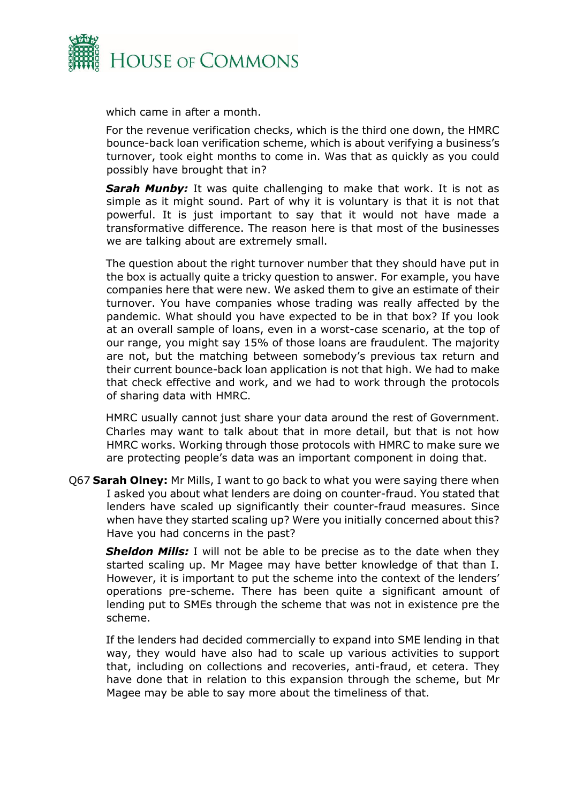

which came in after a month.

For the revenue verification checks, which is the third one down, the HMRC bounce-back loan verification scheme, which is about verifying a business's turnover, took eight months to come in. Was that as quickly as you could possibly have brought that in?

**Sarah Munby:** It was quite challenging to make that work. It is not as simple as it might sound. Part of why it is voluntary is that it is not that powerful. It is just important to say that it would not have made a transformative difference. The reason here is that most of the businesses we are talking about are extremely small.

The question about the right turnover number that they should have put in the box is actually quite a tricky question to answer. For example, you have companies here that were new. We asked them to give an estimate of their turnover. You have companies whose trading was really affected by the pandemic. What should you have expected to be in that box? If you look at an overall sample of loans, even in a worst-case scenario, at the top of our range, you might say 15% of those loans are fraudulent. The majority are not, but the matching between somebody's previous tax return and their current bounce-back loan application is not that high. We had to make that check effective and work, and we had to work through the protocols of sharing data with HMRC.

HMRC usually cannot just share your data around the rest of Government. Charles may want to talk about that in more detail, but that is not how HMRC works. Working through those protocols with HMRC to make sure we are protecting people's data was an important component in doing that.

Q67 **Sarah Olney:** Mr Mills, I want to go back to what you were saying there when I asked you about what lenders are doing on counter-fraud. You stated that lenders have scaled up significantly their counter-fraud measures. Since when have they started scaling up? Were you initially concerned about this? Have you had concerns in the past?

**Sheldon Mills:** I will not be able to be precise as to the date when they started scaling up. Mr Magee may have better knowledge of that than I. However, it is important to put the scheme into the context of the lenders' operations pre-scheme. There has been quite a significant amount of lending put to SMEs through the scheme that was not in existence pre the scheme.

If the lenders had decided commercially to expand into SME lending in that way, they would have also had to scale up various activities to support that, including on collections and recoveries, anti-fraud, et cetera. They have done that in relation to this expansion through the scheme, but Mr Magee may be able to say more about the timeliness of that.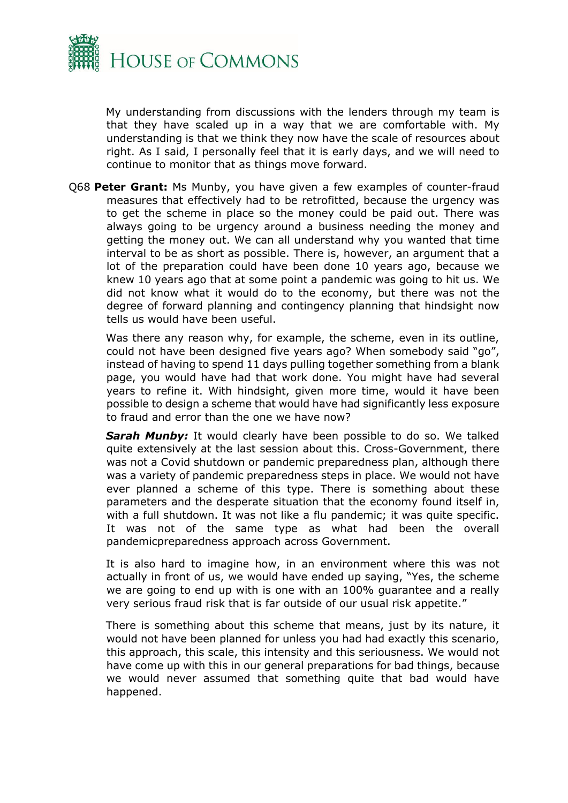

My understanding from discussions with the lenders through my team is that they have scaled up in a way that we are comfortable with. My understanding is that we think they now have the scale of resources about right. As I said, I personally feel that it is early days, and we will need to continue to monitor that as things move forward.

Q68 **Peter Grant:** Ms Munby, you have given a few examples of counter-fraud measures that effectively had to be retrofitted, because the urgency was to get the scheme in place so the money could be paid out. There was always going to be urgency around a business needing the money and getting the money out. We can all understand why you wanted that time interval to be as short as possible. There is, however, an argument that a lot of the preparation could have been done 10 years ago, because we knew 10 years ago that at some point a pandemic was going to hit us. We did not know what it would do to the economy, but there was not the degree of forward planning and contingency planning that hindsight now tells us would have been useful.

Was there any reason why, for example, the scheme, even in its outline, could not have been designed five years ago? When somebody said "go", instead of having to spend 11 days pulling together something from a blank page, you would have had that work done. You might have had several years to refine it. With hindsight, given more time, would it have been possible to design a scheme that would have had significantly less exposure to fraud and error than the one we have now?

*Sarah Munby:* It would clearly have been possible to do so. We talked quite extensively at the last session about this. Cross-Government, there was not a Covid shutdown or pandemic preparedness plan, although there was a variety of pandemic preparedness steps in place. We would not have ever planned a scheme of this type. There is something about these parameters and the desperate situation that the economy found itself in, with a full shutdown. It was not like a flu pandemic; it was quite specific. It was not of the same type as what had been the overall pandemicpreparedness approach across Government.

It is also hard to imagine how, in an environment where this was not actually in front of us, we would have ended up saying, "Yes, the scheme we are going to end up with is one with an 100% guarantee and a really very serious fraud risk that is far outside of our usual risk appetite."

There is something about this scheme that means, just by its nature, it would not have been planned for unless you had had exactly this scenario, this approach, this scale, this intensity and this seriousness. We would not have come up with this in our general preparations for bad things, because we would never assumed that something quite that bad would have happened.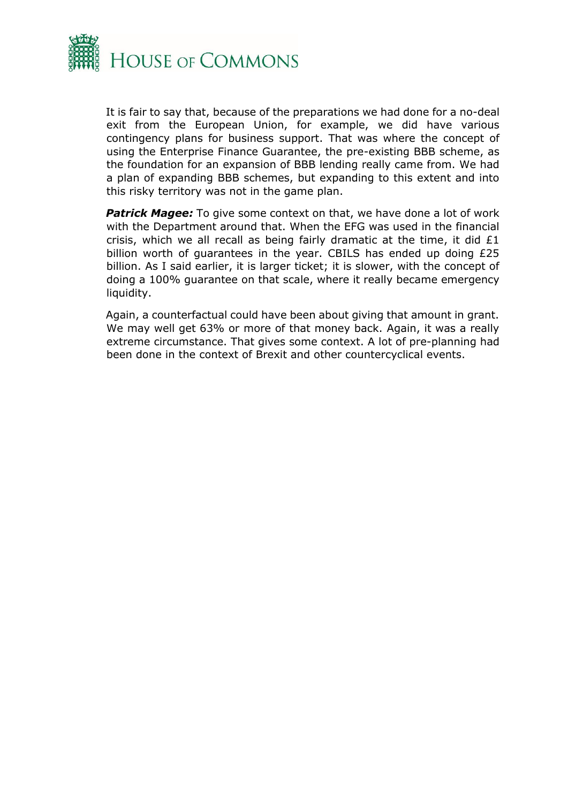

It is fair to say that, because of the preparations we had done for a no-deal exit from the European Union, for example, we did have various contingency plans for business support. That was where the concept of using the Enterprise Finance Guarantee, the pre-existing BBB scheme, as the foundation for an expansion of BBB lending really came from. We had a plan of expanding BBB schemes, but expanding to this extent and into this risky territory was not in the game plan.

**Patrick Magee:** To give some context on that, we have done a lot of work with the Department around that. When the EFG was used in the financial crisis, which we all recall as being fairly dramatic at the time, it did £1 billion worth of guarantees in the year. CBILS has ended up doing £25 billion. As I said earlier, it is larger ticket; it is slower, with the concept of doing a 100% guarantee on that scale, where it really became emergency liquidity.

Again, a counterfactual could have been about giving that amount in grant. We may well get 63% or more of that money back. Again, it was a really extreme circumstance. That gives some context. A lot of pre-planning had been done in the context of Brexit and other countercyclical events.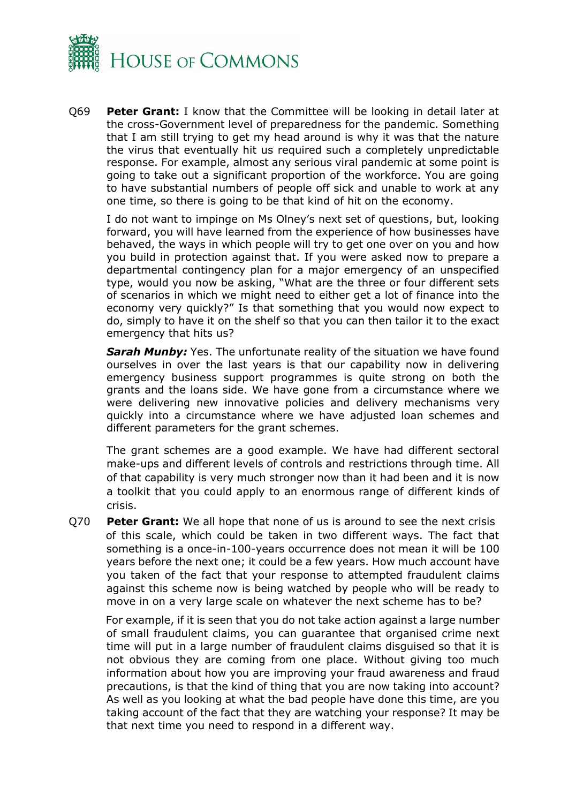

Q69 **Peter Grant:** I know that the Committee will be looking in detail later at the cross-Government level of preparedness for the pandemic. Something that I am still trying to get my head around is why it was that the nature the virus that eventually hit us required such a completely unpredictable response. For example, almost any serious viral pandemic at some point is going to take out a significant proportion of the workforce. You are going to have substantial numbers of people off sick and unable to work at any one time, so there is going to be that kind of hit on the economy.

I do not want to impinge on Ms Olney's next set of questions, but, looking forward, you will have learned from the experience of how businesses have behaved, the ways in which people will try to get one over on you and how you build in protection against that. If you were asked now to prepare a departmental contingency plan for a major emergency of an unspecified type, would you now be asking, "What are the three or four different sets of scenarios in which we might need to either get a lot of finance into the economy very quickly?" Is that something that you would now expect to do, simply to have it on the shelf so that you can then tailor it to the exact emergency that hits us?

**Sarah Munby:** Yes. The unfortunate reality of the situation we have found ourselves in over the last years is that our capability now in delivering emergency business support programmes is quite strong on both the grants and the loans side. We have gone from a circumstance where we were delivering new innovative policies and delivery mechanisms very quickly into a circumstance where we have adjusted loan schemes and different parameters for the grant schemes.

The grant schemes are a good example. We have had different sectoral make-ups and different levels of controls and restrictions through time. All of that capability is very much stronger now than it had been and it is now a toolkit that you could apply to an enormous range of different kinds of crisis.

Q70 **Peter Grant:** We all hope that none of us is around to see the next crisis of this scale, which could be taken in two different ways. The fact that something is a once-in-100-years occurrence does not mean it will be 100 years before the next one; it could be a few years. How much account have you taken of the fact that your response to attempted fraudulent claims against this scheme now is being watched by people who will be ready to move in on a very large scale on whatever the next scheme has to be?

For example, if it is seen that you do not take action against a large number of small fraudulent claims, you can guarantee that organised crime next time will put in a large number of fraudulent claims disguised so that it is not obvious they are coming from one place. Without giving too much information about how you are improving your fraud awareness and fraud precautions, is that the kind of thing that you are now taking into account? As well as you looking at what the bad people have done this time, are you taking account of the fact that they are watching your response? It may be that next time you need to respond in a different way.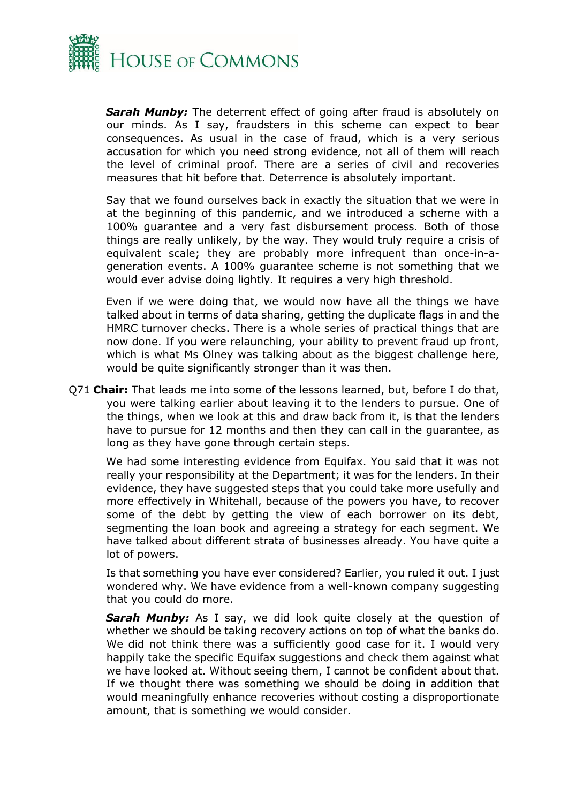

*Sarah Munby:* The deterrent effect of going after fraud is absolutely on our minds. As I say, fraudsters in this scheme can expect to bear consequences. As usual in the case of fraud, which is a very serious accusation for which you need strong evidence, not all of them will reach the level of criminal proof. There are a series of civil and recoveries measures that hit before that. Deterrence is absolutely important.

Say that we found ourselves back in exactly the situation that we were in at the beginning of this pandemic, and we introduced a scheme with a 100% guarantee and a very fast disbursement process. Both of those things are really unlikely, by the way. They would truly require a crisis of equivalent scale; they are probably more infrequent than once-in-ageneration events. A 100% guarantee scheme is not something that we would ever advise doing lightly. It requires a very high threshold.

Even if we were doing that, we would now have all the things we have talked about in terms of data sharing, getting the duplicate flags in and the HMRC turnover checks. There is a whole series of practical things that are now done. If you were relaunching, your ability to prevent fraud up front, which is what Ms Olney was talking about as the biggest challenge here, would be quite significantly stronger than it was then.

Q71 **Chair:** That leads me into some of the lessons learned, but, before I do that, you were talking earlier about leaving it to the lenders to pursue. One of the things, when we look at this and draw back from it, is that the lenders have to pursue for 12 months and then they can call in the guarantee, as long as they have gone through certain steps.

We had some interesting evidence from Equifax. You said that it was not really your responsibility at the Department; it was for the lenders. In their evidence, they have suggested steps that you could take more usefully and more effectively in Whitehall, because of the powers you have, to recover some of the debt by getting the view of each borrower on its debt, segmenting the loan book and agreeing a strategy for each segment. We have talked about different strata of businesses already. You have quite a lot of powers.

Is that something you have ever considered? Earlier, you ruled it out. I just wondered why. We have evidence from a well-known company suggesting that you could do more.

**Sarah Munby:** As I say, we did look quite closely at the question of whether we should be taking recovery actions on top of what the banks do. We did not think there was a sufficiently good case for it. I would very happily take the specific Equifax suggestions and check them against what we have looked at. Without seeing them, I cannot be confident about that. If we thought there was something we should be doing in addition that would meaningfully enhance recoveries without costing a disproportionate amount, that is something we would consider.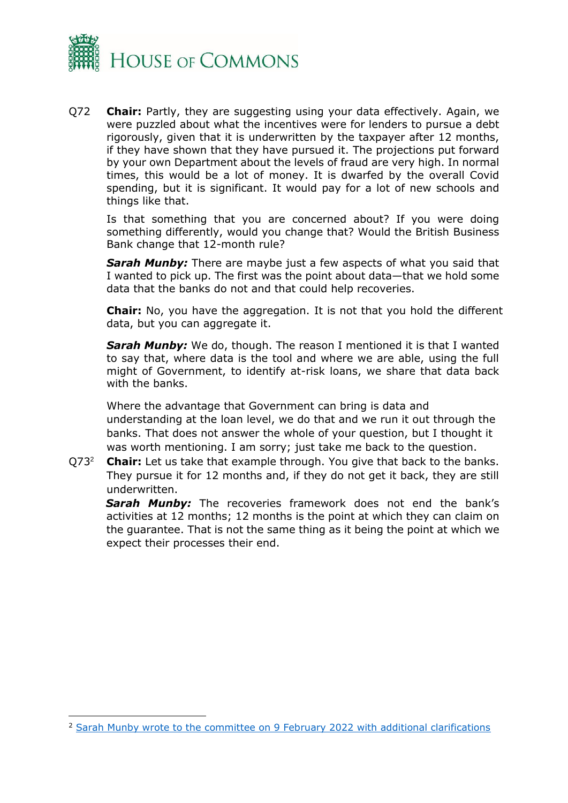

Q72 **Chair:** Partly, they are suggesting using your data effectively. Again, we were puzzled about what the incentives were for lenders to pursue a debt rigorously, given that it is underwritten by the taxpayer after 12 months, if they have shown that they have pursued it. The projections put forward by your own Department about the levels of fraud are very high. In normal times, this would be a lot of money. It is dwarfed by the overall Covid spending, but it is significant. It would pay for a lot of new schools and things like that.

Is that something that you are concerned about? If you were doing something differently, would you change that? Would the British Business Bank change that 12-month rule?

*Sarah Munby:* There are maybe just a few aspects of what you said that I wanted to pick up. The first was the point about data—that we hold some data that the banks do not and that could help recoveries.

**Chair:** No, you have the aggregation. It is not that you hold the different data, but you can aggregate it.

**Sarah Munby:** We do, though. The reason I mentioned it is that I wanted to say that, where data is the tool and where we are able, using the full might of Government, to identify at-risk loans, we share that data back with the banks.

Where the advantage that Government can bring is data and understanding at the loan level, we do that and we run it out through the banks. That does not answer the whole of your question, but I thought it was worth mentioning. I am sorry; just take me back to the question.

Q73<sup>2</sup> **Chair:** Let us take that example through. You give that back to the banks. They pursue it for 12 months and, if they do not get it back, they are still underwritten.

Sarah Munby: The recoveries framework does not end the bank's activities at 12 months; 12 months is the point at which they can claim on the guarantee. That is not the same thing as it being the point at which we expect their processes their end.

<sup>2</sup> [Sarah Munby wrote to the committee](https://committees.parliament.uk/publications/8918/documents/152359/default/) on 9 February 2022 with additional clarifications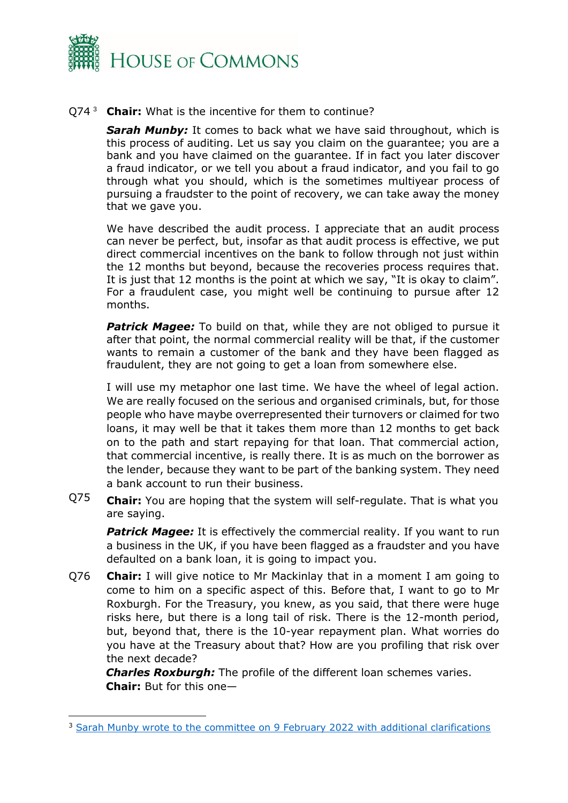

#### Q74 <sup>3</sup> **Chair:** What is the incentive for them to continue?

**Sarah Munby:** It comes to back what we have said throughout, which is this process of auditing. Let us say you claim on the guarantee; you are a bank and you have claimed on the guarantee. If in fact you later discover a fraud indicator, or we tell you about a fraud indicator, and you fail to go through what you should, which is the sometimes multiyear process of pursuing a fraudster to the point of recovery, we can take away the money that we gave you.

We have described the audit process. I appreciate that an audit process can never be perfect, but, insofar as that audit process is effective, we put direct commercial incentives on the bank to follow through not just within the 12 months but beyond, because the recoveries process requires that. It is just that 12 months is the point at which we say, "It is okay to claim". For a fraudulent case, you might well be continuing to pursue after 12 months.

**Patrick Magee:** To build on that, while they are not obliged to pursue it after that point, the normal commercial reality will be that, if the customer wants to remain a customer of the bank and they have been flagged as fraudulent, they are not going to get a loan from somewhere else.

I will use my metaphor one last time. We have the wheel of legal action. We are really focused on the serious and organised criminals, but, for those people who have maybe overrepresented their turnovers or claimed for two loans, it may well be that it takes them more than 12 months to get back on to the path and start repaying for that loan. That commercial action, that commercial incentive, is really there. It is as much on the borrower as the lender, because they want to be part of the banking system. They need a bank account to run their business.

Q75 **Chair:** You are hoping that the system will self-regulate. That is what you are saying.

**Patrick Magee:** It is effectively the commercial reality. If you want to run a business in the UK, if you have been flagged as a fraudster and you have defaulted on a bank loan, it is going to impact you.

Q76 **Chair:** I will give notice to Mr Mackinlay that in a moment I am going to come to him on a specific aspect of this. Before that, I want to go to Mr Roxburgh. For the Treasury, you knew, as you said, that there were huge risks here, but there is a long tail of risk. There is the 12-month period, but, beyond that, there is the 10-year repayment plan. What worries do you have at the Treasury about that? How are you profiling that risk over the next decade?

*Charles Roxburgh:* The profile of the different loan schemes varies. **Chair:** But for this one—

<sup>&</sup>lt;sup>3</sup> [Sarah Munby wrote to the committee](https://committees.parliament.uk/publications/8918/documents/152359/default/) on 9 February 2022 with additional clarifications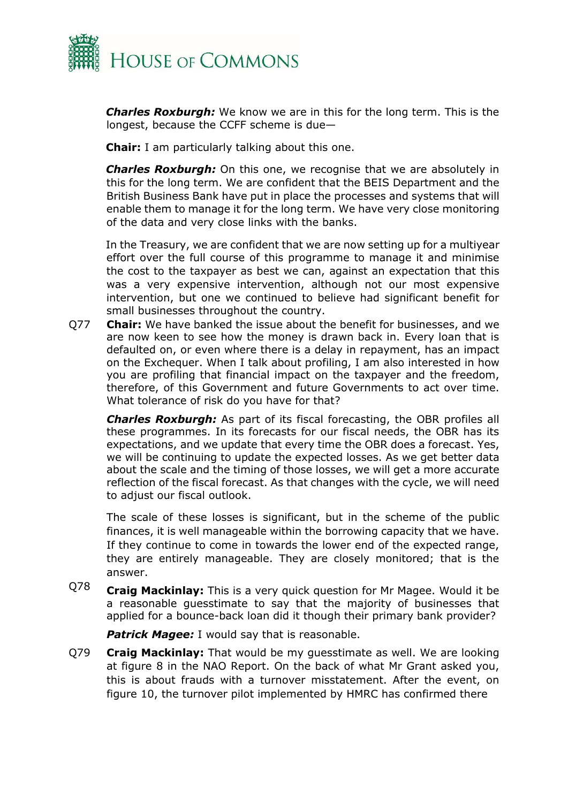

*Charles Roxburgh:* We know we are in this for the long term. This is the longest, because the CCFF scheme is due—

**Chair:** I am particularly talking about this one.

*Charles Roxburgh:* On this one, we recognise that we are absolutely in this for the long term. We are confident that the BEIS Department and the British Business Bank have put in place the processes and systems that will enable them to manage it for the long term. We have very close monitoring of the data and very close links with the banks.

In the Treasury, we are confident that we are now setting up for a multiyear effort over the full course of this programme to manage it and minimise the cost to the taxpayer as best we can, against an expectation that this was a very expensive intervention, although not our most expensive intervention, but one we continued to believe had significant benefit for small businesses throughout the country.

Q77 **Chair:** We have banked the issue about the benefit for businesses, and we are now keen to see how the money is drawn back in. Every loan that is defaulted on, or even where there is a delay in repayment, has an impact on the Exchequer. When I talk about profiling, I am also interested in how you are profiling that financial impact on the taxpayer and the freedom, therefore, of this Government and future Governments to act over time. What tolerance of risk do you have for that?

*Charles Roxburgh:* As part of its fiscal forecasting, the OBR profiles all these programmes. In its forecasts for our fiscal needs, the OBR has its expectations, and we update that every time the OBR does a forecast. Yes, we will be continuing to update the expected losses. As we get better data about the scale and the timing of those losses, we will get a more accurate reflection of the fiscal forecast. As that changes with the cycle, we will need to adjust our fiscal outlook.

The scale of these losses is significant, but in the scheme of the public finances, it is well manageable within the borrowing capacity that we have. If they continue to come in towards the lower end of the expected range, they are entirely manageable. They are closely monitored; that is the answer.

Q78 **Craig Mackinlay:** This is a very quick question for Mr Magee. Would it be a reasonable guesstimate to say that the majority of businesses that applied for a bounce-back loan did it though their primary bank provider?

**Patrick Magee:** I would say that is reasonable.

Q79 **Craig Mackinlay:** That would be my guesstimate as well. We are looking at figure 8 in the NAO Report. On the back of what Mr Grant asked you, this is about frauds with a turnover misstatement. After the event, on figure 10, the turnover pilot implemented by HMRC has confirmed there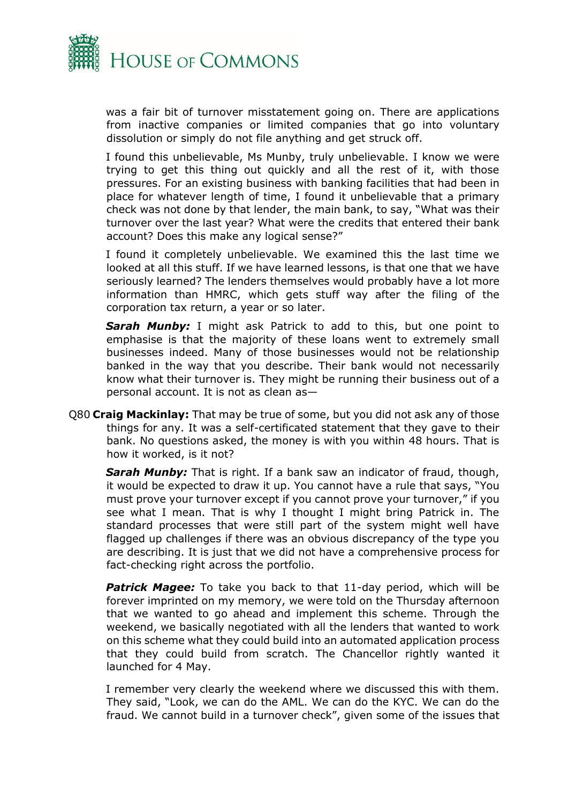

was a fair bit of turnover misstatement going on. There are applications from inactive companies or limited companies that go into voluntary dissolution or simply do not file anything and get struck off.

I found this unbelievable, Ms Munby, truly unbelievable. I know we were trying to get this thing out quickly and all the rest of it, with those pressures. For an existing business with banking facilities that had been in place for whatever length of time, I found it unbelievable that a primary check was not done by that lender, the main bank, to say, "What was their turnover over the last year? What were the credits that entered their bank account? Does this make any logical sense?"

I found it completely unbelievable. We examined this the last time we looked at all this stuff. If we have learned lessons, is that one that we have seriously learned? The lenders themselves would probably have a lot more information than HMRC, which gets stuff way after the filing of the corporation tax return, a year or so later.

*Sarah Munby:* I might ask Patrick to add to this, but one point to emphasise is that the majority of these loans went to extremely small businesses indeed. Many of those businesses would not be relationship banked in the way that you describe. Their bank would not necessarily know what their turnover is. They might be running their business out of a personal account. It is not as clean as—

Q80 **Craig Mackinlay:** That may be true of some, but you did not ask any of those things for any. It was a self-certificated statement that they gave to their bank. No questions asked, the money is with you within 48 hours. That is how it worked, is it not?

*Sarah Munby:* That is right. If a bank saw an indicator of fraud, though, it would be expected to draw it up. You cannot have a rule that says, "You must prove your turnover except if you cannot prove your turnover," if you see what I mean. That is why I thought I might bring Patrick in. The standard processes that were still part of the system might well have flagged up challenges if there was an obvious discrepancy of the type you are describing. It is just that we did not have a comprehensive process for fact-checking right across the portfolio.

**Patrick Magee:** To take you back to that 11-day period, which will be forever imprinted on my memory, we were told on the Thursday afternoon that we wanted to go ahead and implement this scheme. Through the weekend, we basically negotiated with all the lenders that wanted to work on this scheme what they could build into an automated application process that they could build from scratch. The Chancellor rightly wanted it launched for 4 May.

I remember very clearly the weekend where we discussed this with them. They said, "Look, we can do the AML. We can do the KYC. We can do the fraud. We cannot build in a turnover check", given some of the issues that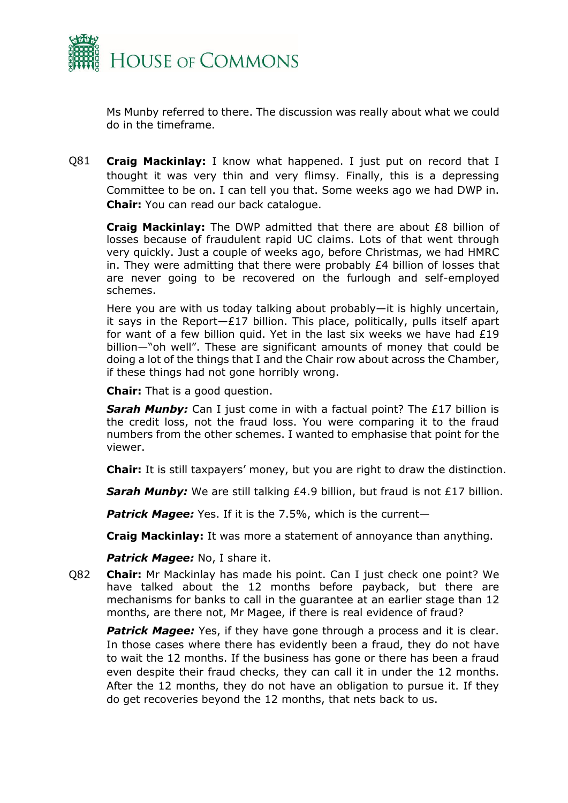

Ms Munby referred to there. The discussion was really about what we could do in the timeframe.

Q81 **Craig Mackinlay:** I know what happened. I just put on record that I thought it was very thin and very flimsy. Finally, this is a depressing Committee to be on. I can tell you that. Some weeks ago we had DWP in. **Chair:** You can read our back catalogue.

**Craig Mackinlay:** The DWP admitted that there are about £8 billion of losses because of fraudulent rapid UC claims. Lots of that went through very quickly. Just a couple of weeks ago, before Christmas, we had HMRC in. They were admitting that there were probably £4 billion of losses that are never going to be recovered on the furlough and self-employed schemes.

Here you are with us today talking about probably—it is highly uncertain, it says in the Report $-E17$  billion. This place, politically, pulls itself apart for want of a few billion quid. Yet in the last six weeks we have had  $£19$ billion—"oh well". These are significant amounts of money that could be doing a lot of the things that I and the Chair row about across the Chamber, if these things had not gone horribly wrong.

**Chair:** That is a good question.

**Sarah Munby:** Can I just come in with a factual point? The £17 billion is the credit loss, not the fraud loss. You were comparing it to the fraud numbers from the other schemes. I wanted to emphasise that point for the viewer.

**Chair:** It is still taxpayers' money, but you are right to draw the distinction.

**Sarah Munby:** We are still talking £4.9 billion, but fraud is not £17 billion.

**Patrick Magee:** Yes. If it is the 7.5%, which is the current-

**Craig Mackinlay:** It was more a statement of annoyance than anything.

*Patrick Magee:* No, I share it.

Q82 **Chair:** Mr Mackinlay has made his point. Can I just check one point? We have talked about the 12 months before payback, but there are mechanisms for banks to call in the guarantee at an earlier stage than 12 months, are there not, Mr Magee, if there is real evidence of fraud?

**Patrick Magee:** Yes, if they have gone through a process and it is clear. In those cases where there has evidently been a fraud, they do not have to wait the 12 months. If the business has gone or there has been a fraud even despite their fraud checks, they can call it in under the 12 months. After the 12 months, they do not have an obligation to pursue it. If they do get recoveries beyond the 12 months, that nets back to us.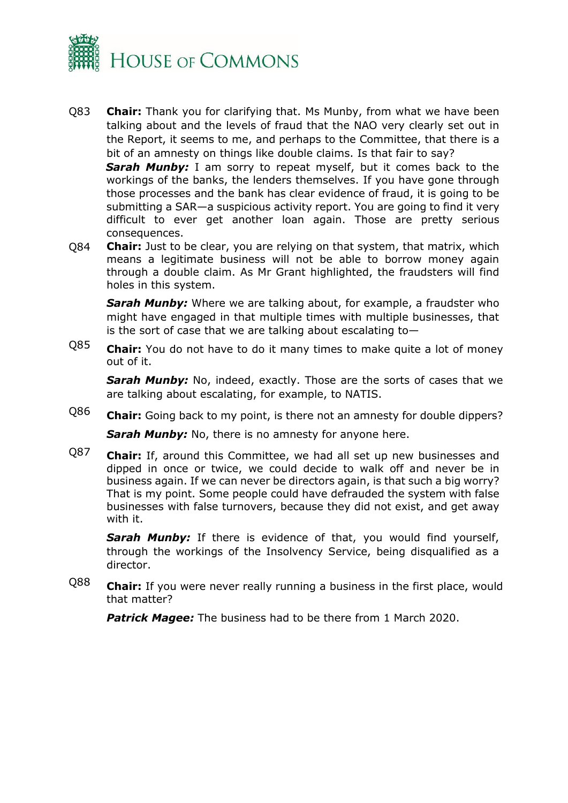

Q83 **Chair:** Thank you for clarifying that. Ms Munby, from what we have been talking about and the levels of fraud that the NAO very clearly set out in the Report, it seems to me, and perhaps to the Committee, that there is a bit of an amnesty on things like double claims. Is that fair to say?

**Sarah Munby:** I am sorry to repeat myself, but it comes back to the workings of the banks, the lenders themselves. If you have gone through those processes and the bank has clear evidence of fraud, it is going to be submitting a SAR—a suspicious activity report. You are going to find it very difficult to ever get another loan again. Those are pretty serious consequences.

Q84 **Chair:** Just to be clear, you are relying on that system, that matrix, which means a legitimate business will not be able to borrow money again through a double claim. As Mr Grant highlighted, the fraudsters will find holes in this system.

*Sarah Munby:* Where we are talking about, for example, a fraudster who might have engaged in that multiple times with multiple businesses, that is the sort of case that we are talking about escalating to—

Q85 **Chair:** You do not have to do it many times to make quite a lot of money out of it.

**Sarah Munby:** No, indeed, exactly. Those are the sorts of cases that we are talking about escalating, for example, to NATIS.

- Q86 **Chair:** Going back to my point, is there not an amnesty for double dippers? **Sarah Munby:** No, there is no amnesty for anyone here.
- Q87 **Chair:** If, around this Committee, we had all set up new businesses and dipped in once or twice, we could decide to walk off and never be in business again. If we can never be directors again, is that such a big worry? That is my point. Some people could have defrauded the system with false businesses with false turnovers, because they did not exist, and get away with it.

**Sarah Munby:** If there is evidence of that, you would find yourself, through the workings of the Insolvency Service, being disqualified as a director.

Q88 **Chair:** If you were never really running a business in the first place, would that matter?

*Patrick Magee:* The business had to be there from 1 March 2020.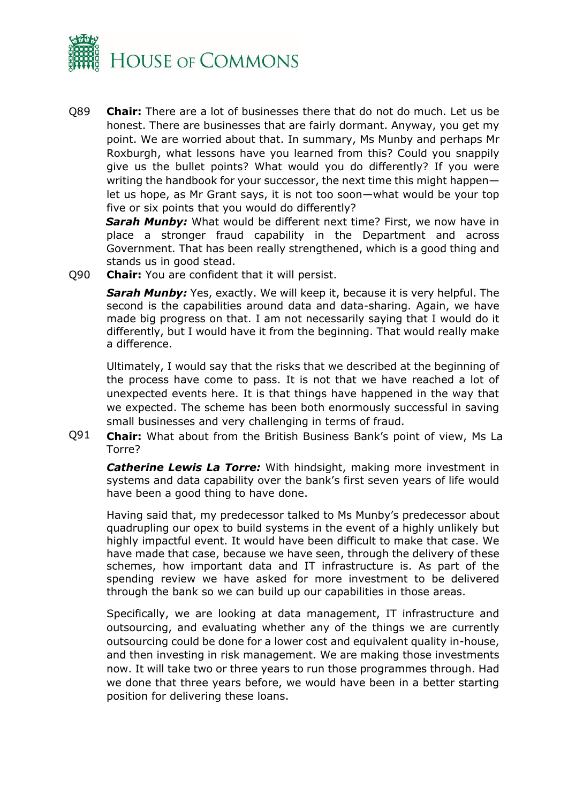

Q89 **Chair:** There are a lot of businesses there that do not do much. Let us be honest. There are businesses that are fairly dormant. Anyway, you get my point. We are worried about that. In summary, Ms Munby and perhaps Mr Roxburgh, what lessons have you learned from this? Could you snappily give us the bullet points? What would you do differently? If you were writing the handbook for your successor, the next time this might happen let us hope, as Mr Grant says, it is not too soon—what would be your top five or six points that you would do differently?

*Sarah Munby:* What would be different next time? First, we now have in place a stronger fraud capability in the Department and across Government. That has been really strengthened, which is a good thing and stands us in good stead.

Q90 **Chair:** You are confident that it will persist.

**Sarah Munby:** Yes, exactly. We will keep it, because it is very helpful. The second is the capabilities around data and data-sharing. Again, we have made big progress on that. I am not necessarily saying that I would do it differently, but I would have it from the beginning. That would really make a difference.

Ultimately, I would say that the risks that we described at the beginning of the process have come to pass. It is not that we have reached a lot of unexpected events here. It is that things have happened in the way that we expected. The scheme has been both enormously successful in saving small businesses and very challenging in terms of fraud.

Q91 **Chair:** What about from the British Business Bank's point of view, Ms La Torre?

*Catherine Lewis La Torre:* With hindsight, making more investment in systems and data capability over the bank's first seven years of life would have been a good thing to have done.

Having said that, my predecessor talked to Ms Munby's predecessor about quadrupling our opex to build systems in the event of a highly unlikely but highly impactful event. It would have been difficult to make that case. We have made that case, because we have seen, through the delivery of these schemes, how important data and IT infrastructure is. As part of the spending review we have asked for more investment to be delivered through the bank so we can build up our capabilities in those areas.

Specifically, we are looking at data management, IT infrastructure and outsourcing, and evaluating whether any of the things we are currently outsourcing could be done for a lower cost and equivalent quality in-house, and then investing in risk management. We are making those investments now. It will take two or three years to run those programmes through. Had we done that three years before, we would have been in a better starting position for delivering these loans.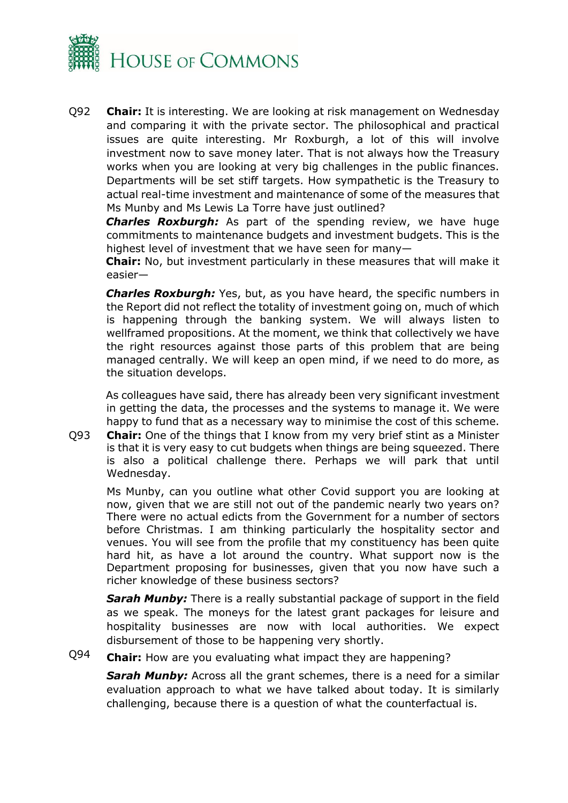

Q92 **Chair:** It is interesting. We are looking at risk management on Wednesday and comparing it with the private sector. The philosophical and practical issues are quite interesting. Mr Roxburgh, a lot of this will involve investment now to save money later. That is not always how the Treasury works when you are looking at very big challenges in the public finances. Departments will be set stiff targets. How sympathetic is the Treasury to actual real-time investment and maintenance of some of the measures that Ms Munby and Ms Lewis La Torre have just outlined?

*Charles Roxburgh:* As part of the spending review, we have huge commitments to maintenance budgets and investment budgets. This is the highest level of investment that we have seen for many—

**Chair:** No, but investment particularly in these measures that will make it easier—

*Charles Roxburgh:* Yes, but, as you have heard, the specific numbers in the Report did not reflect the totality of investment going on, much of which is happening through the banking system. We will always listen to wellframed propositions. At the moment, we think that collectively we have the right resources against those parts of this problem that are being managed centrally. We will keep an open mind, if we need to do more, as the situation develops.

As colleagues have said, there has already been very significant investment in getting the data, the processes and the systems to manage it. We were happy to fund that as a necessary way to minimise the cost of this scheme.

Q93 **Chair:** One of the things that I know from my very brief stint as a Minister is that it is very easy to cut budgets when things are being squeezed. There is also a political challenge there. Perhaps we will park that until Wednesday.

Ms Munby, can you outline what other Covid support you are looking at now, given that we are still not out of the pandemic nearly two years on? There were no actual edicts from the Government for a number of sectors before Christmas. I am thinking particularly the hospitality sector and venues. You will see from the profile that my constituency has been quite hard hit, as have a lot around the country. What support now is the Department proposing for businesses, given that you now have such a richer knowledge of these business sectors?

**Sarah Munby:** There is a really substantial package of support in the field as we speak. The moneys for the latest grant packages for leisure and hospitality businesses are now with local authorities. We expect disbursement of those to be happening very shortly.

Q94 **Chair:** How are you evaluating what impact they are happening?

*Sarah Munby:* Across all the grant schemes, there is a need for a similar evaluation approach to what we have talked about today. It is similarly challenging, because there is a question of what the counterfactual is.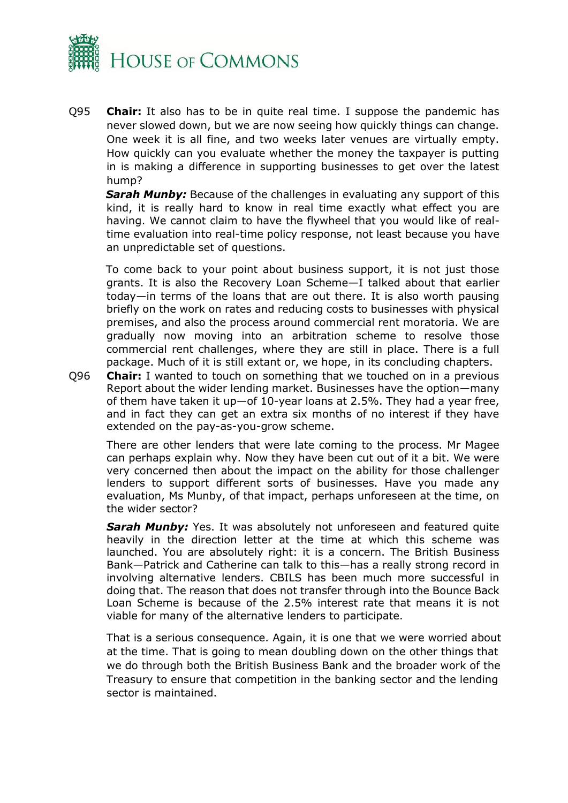

Q95 **Chair:** It also has to be in quite real time. I suppose the pandemic has never slowed down, but we are now seeing how quickly things can change. One week it is all fine, and two weeks later venues are virtually empty. How quickly can you evaluate whether the money the taxpayer is putting in is making a difference in supporting businesses to get over the latest hump?

*Sarah Munby:* Because of the challenges in evaluating any support of this kind, it is really hard to know in real time exactly what effect you are having. We cannot claim to have the flywheel that you would like of realtime evaluation into real-time policy response, not least because you have an unpredictable set of questions.

To come back to your point about business support, it is not just those grants. It is also the Recovery Loan Scheme—I talked about that earlier today—in terms of the loans that are out there. It is also worth pausing briefly on the work on rates and reducing costs to businesses with physical premises, and also the process around commercial rent moratoria. We are gradually now moving into an arbitration scheme to resolve those commercial rent challenges, where they are still in place. There is a full package. Much of it is still extant or, we hope, in its concluding chapters.

Q96 **Chair:** I wanted to touch on something that we touched on in a previous Report about the wider lending market. Businesses have the option—many of them have taken it up—of 10-year loans at 2.5%. They had a year free, and in fact they can get an extra six months of no interest if they have extended on the pay-as-you-grow scheme.

There are other lenders that were late coming to the process. Mr Magee can perhaps explain why. Now they have been cut out of it a bit. We were very concerned then about the impact on the ability for those challenger lenders to support different sorts of businesses. Have you made any evaluation, Ms Munby, of that impact, perhaps unforeseen at the time, on the wider sector?

*Sarah Munby:* Yes. It was absolutely not unforeseen and featured quite heavily in the direction letter at the time at which this scheme was launched. You are absolutely right: it is a concern. The British Business Bank—Patrick and Catherine can talk to this—has a really strong record in involving alternative lenders. CBILS has been much more successful in doing that. The reason that does not transfer through into the Bounce Back Loan Scheme is because of the 2.5% interest rate that means it is not viable for many of the alternative lenders to participate.

That is a serious consequence. Again, it is one that we were worried about at the time. That is going to mean doubling down on the other things that we do through both the British Business Bank and the broader work of the Treasury to ensure that competition in the banking sector and the lending sector is maintained.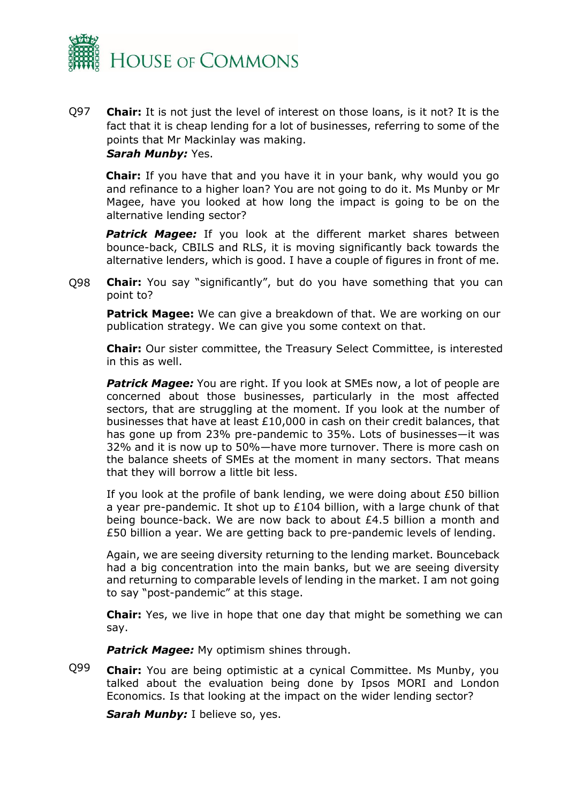

Q97 **Chair:** It is not just the level of interest on those loans, is it not? It is the fact that it is cheap lending for a lot of businesses, referring to some of the points that Mr Mackinlay was making. *Sarah Munby:* Yes.

**Chair:** If you have that and you have it in your bank, why would you go and refinance to a higher loan? You are not going to do it. Ms Munby or Mr Magee, have you looked at how long the impact is going to be on the alternative lending sector?

**Patrick Magee:** If you look at the different market shares between bounce-back, CBILS and RLS, it is moving significantly back towards the alternative lenders, which is good. I have a couple of figures in front of me.

Q98 **Chair:** You say "significantly", but do you have something that you can point to?

**Patrick Magee:** We can give a breakdown of that. We are working on our publication strategy. We can give you some context on that.

**Chair:** Our sister committee, the Treasury Select Committee, is interested in this as well.

**Patrick Magee:** You are right. If you look at SMEs now, a lot of people are concerned about those businesses, particularly in the most affected sectors, that are struggling at the moment. If you look at the number of businesses that have at least £10,000 in cash on their credit balances, that has gone up from 23% pre-pandemic to 35%. Lots of businesses—it was 32% and it is now up to 50%—have more turnover. There is more cash on the balance sheets of SMEs at the moment in many sectors. That means that they will borrow a little bit less.

If you look at the profile of bank lending, we were doing about £50 billion a year pre-pandemic. It shot up to £104 billion, with a large chunk of that being bounce-back. We are now back to about £4.5 billion a month and £50 billion a year. We are getting back to pre-pandemic levels of lending.

Again, we are seeing diversity returning to the lending market. Bounceback had a big concentration into the main banks, but we are seeing diversity and returning to comparable levels of lending in the market. I am not going to say "post-pandemic" at this stage.

**Chair:** Yes, we live in hope that one day that might be something we can say.

**Patrick Magee:** My optimism shines through.

Q99 **Chair:** You are being optimistic at a cynical Committee. Ms Munby, you talked about the evaluation being done by Ipsos MORI and London Economics. Is that looking at the impact on the wider lending sector?

**Sarah Munby:** I believe so, yes.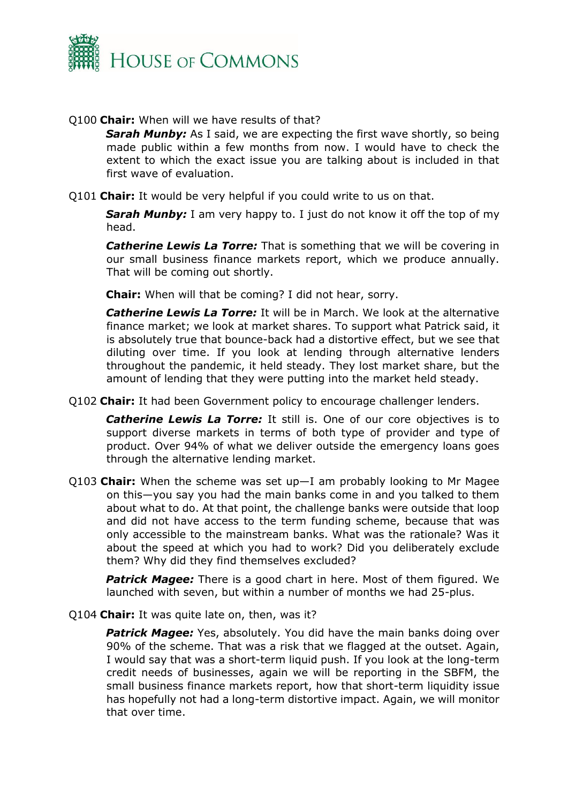

#### Q100 **Chair:** When will we have results of that?

**Sarah Munby:** As I said, we are expecting the first wave shortly, so being made public within a few months from now. I would have to check the extent to which the exact issue you are talking about is included in that first wave of evaluation.

Q101 **Chair:** It would be very helpful if you could write to us on that.

**Sarah Munby:** I am very happy to. I just do not know it off the top of my head.

*Catherine Lewis La Torre:* That is something that we will be covering in our small business finance markets report, which we produce annually. That will be coming out shortly.

**Chair:** When will that be coming? I did not hear, sorry.

*Catherine Lewis La Torre:* It will be in March. We look at the alternative finance market; we look at market shares. To support what Patrick said, it is absolutely true that bounce-back had a distortive effect, but we see that diluting over time. If you look at lending through alternative lenders throughout the pandemic, it held steady. They lost market share, but the amount of lending that they were putting into the market held steady.

Q102 **Chair:** It had been Government policy to encourage challenger lenders.

**Catherine Lewis La Torre:** It still is. One of our core objectives is to support diverse markets in terms of both type of provider and type of product. Over 94% of what we deliver outside the emergency loans goes through the alternative lending market.

Q103 **Chair:** When the scheme was set up—I am probably looking to Mr Magee on this—you say you had the main banks come in and you talked to them about what to do. At that point, the challenge banks were outside that loop and did not have access to the term funding scheme, because that was only accessible to the mainstream banks. What was the rationale? Was it about the speed at which you had to work? Did you deliberately exclude them? Why did they find themselves excluded?

*Patrick Magee:* There is a good chart in here. Most of them figured. We launched with seven, but within a number of months we had 25-plus.

Q104 **Chair:** It was quite late on, then, was it?

**Patrick Magee:** Yes, absolutely. You did have the main banks doing over 90% of the scheme. That was a risk that we flagged at the outset. Again, I would say that was a short-term liquid push. If you look at the long-term credit needs of businesses, again we will be reporting in the SBFM, the small business finance markets report, how that short-term liquidity issue has hopefully not had a long-term distortive impact. Again, we will monitor that over time.